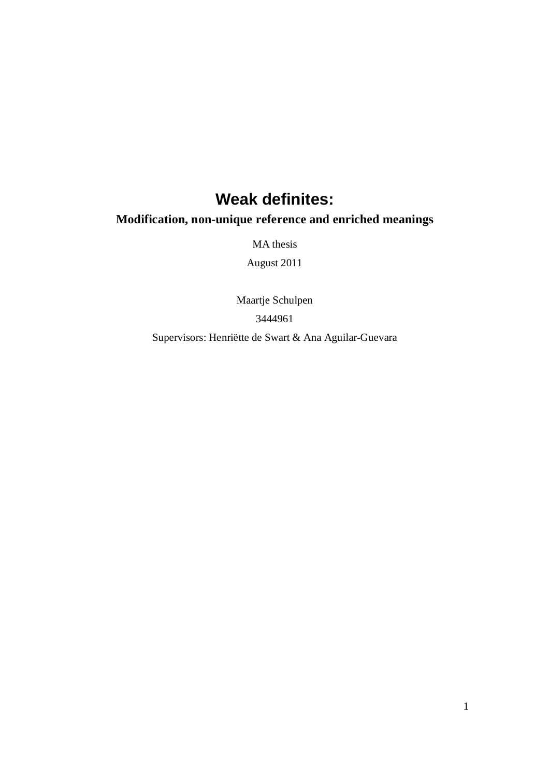# **Weak definites:**

# **Modification, non-unique reference and enriched meanings**

MA thesis

August 2011

Maartje Schulpen 3444961

Supervisors: Henriëtte de Swart & Ana Aguilar-Guevara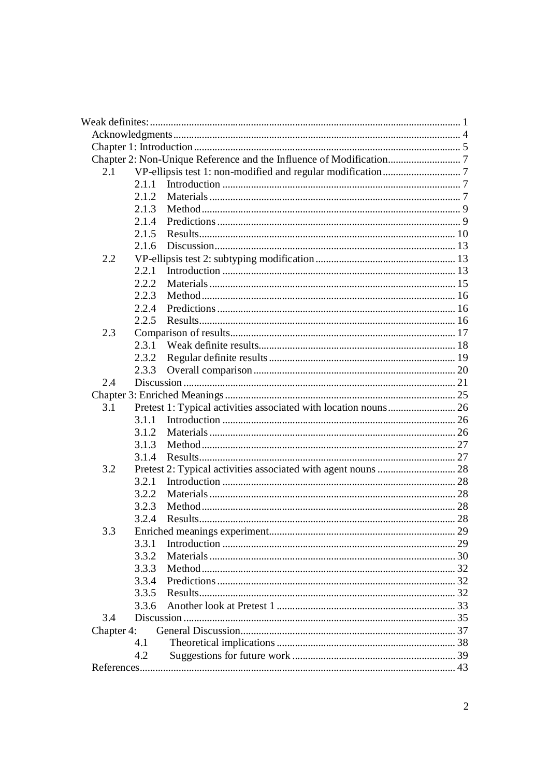| 2.1        |        |  |
|------------|--------|--|
|            | 2.1.1  |  |
|            | 2.1.2  |  |
|            | 2.1.3  |  |
|            | 2.14   |  |
|            | 2.1.5  |  |
|            | 2.1.6  |  |
| 2.2        |        |  |
|            | 2.2.1  |  |
|            | 2.2.2. |  |
|            | 2.2.3  |  |
|            | 2.2.4  |  |
|            | 2.2.5  |  |
| 2.3        |        |  |
|            | 2.3.1  |  |
|            | 2.3.2  |  |
|            | 2.3.3  |  |
| 2.4        |        |  |
|            |        |  |
| 3.1        |        |  |
|            | 3.1.1  |  |
|            | 3.1.2  |  |
|            | 3.1.3  |  |
|            | 3.1.4  |  |
| 3.2        |        |  |
|            | 3.2.1  |  |
|            | 3.2.2  |  |
|            |        |  |
|            | 3.2.3  |  |
|            | 3.2.4  |  |
| 3.3        | 3.3.1  |  |
|            |        |  |
|            | 3.3.2  |  |
|            | 3.3.3  |  |
|            | 3.3.4  |  |
|            | 3.3.5  |  |
|            | 3.3.6  |  |
| 3.4        |        |  |
| Chapter 4: |        |  |
|            | 4.1    |  |
|            | 4.2    |  |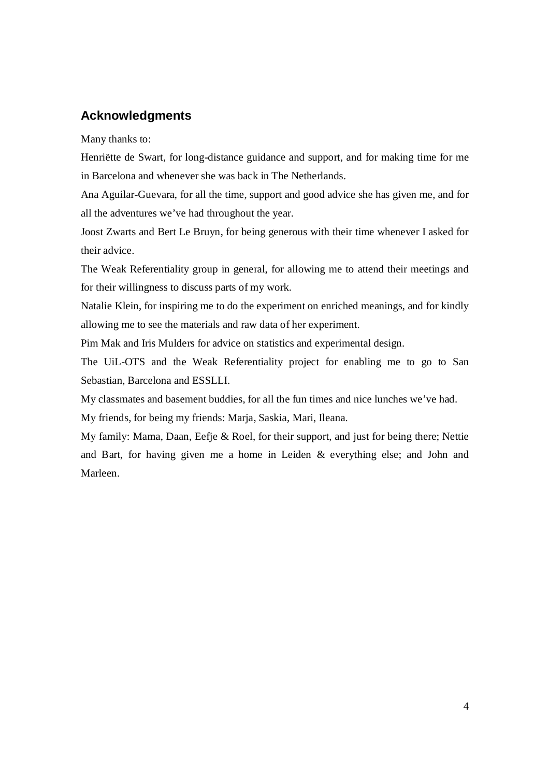# **Acknowledgments**

Many thanks to:

Henriëtte de Swart, for long-distance guidance and support, and for making time for me in Barcelona and whenever she was back in The Netherlands.

Ana Aguilar-Guevara, for all the time, support and good advice she has given me, and for all the adventures we've had throughout the year.

Joost Zwarts and Bert Le Bruyn, for being generous with their time whenever I asked for their advice.

The Weak Referentiality group in general, for allowing me to attend their meetings and for their willingness to discuss parts of my work.

Natalie Klein, for inspiring me to do the experiment on enriched meanings, and for kindly allowing me to see the materials and raw data of her experiment.

Pim Mak and Iris Mulders for advice on statistics and experimental design.

The UiL-OTS and the Weak Referentiality project for enabling me to go to San Sebastian, Barcelona and ESSLLI.

My classmates and basement buddies, for all the fun times and nice lunches we've had.

My friends, for being my friends: Marja, Saskia, Mari, Ileana.

My family: Mama, Daan, Eefje & Roel, for their support, and just for being there; Nettie and Bart, for having given me a home in Leiden & everything else; and John and Marleen.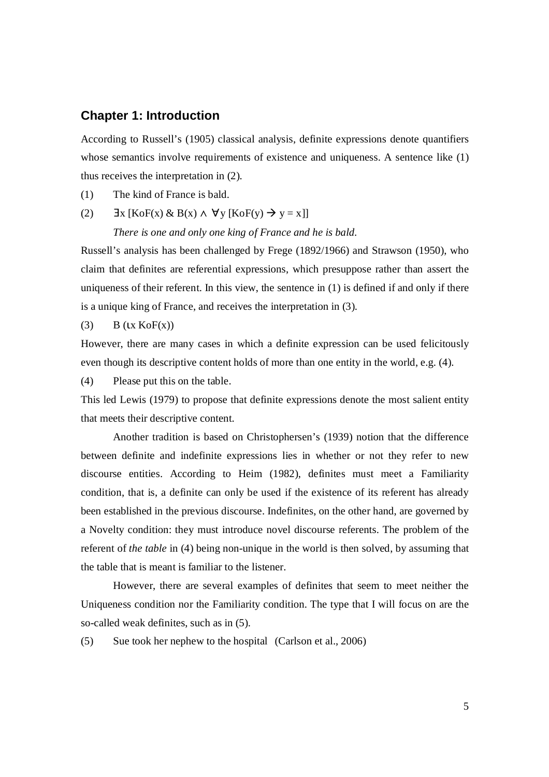# **Chapter 1: Introduction**

According to Russell's (1905) classical analysis, definite expressions denote quantifiers whose semantics involve requirements of existence and uniqueness. A sentence like (1) thus receives the interpretation in (2).

- (1) The kind of France is bald.
- (2)  $\exists x \ [\text{KoF}(x) \& B(x) \land \forall y \ [\text{KoF}(y) \rightarrow y = x]]$

#### *There is one and only one king of France and he is bald.*

Russell's analysis has been challenged by Frege (1892/1966) and Strawson (1950), who claim that definites are referential expressions, which presuppose rather than assert the uniqueness of their referent. In this view, the sentence in  $(1)$  is defined if and only if there is a unique king of France, and receives the interpretation in (3).

#### (3)  $B$  (Lx KoF(x))

However, there are many cases in which a definite expression can be used felicitously even though its descriptive content holds of more than one entity in the world, e.g. (4).

(4) Please put this on the table.

This led Lewis (1979) to propose that definite expressions denote the most salient entity that meets their descriptive content.

Another tradition is based on Christophersen's (1939) notion that the difference between definite and indefinite expressions lies in whether or not they refer to new discourse entities. According to Heim (1982), definites must meet a Familiarity condition, that is, a definite can only be used if the existence of its referent has already been established in the previous discourse. Indefinites, on the other hand, are governed by a Novelty condition: they must introduce novel discourse referents. The problem of the referent of *the table* in (4) being non-unique in the world is then solved, by assuming that the table that is meant is familiar to the listener.

However, there are several examples of definites that seem to meet neither the Uniqueness condition nor the Familiarity condition. The type that I will focus on are the so-called weak definites, such as in (5).

(5) Sue took her nephew to the hospital (Carlson et al., 2006)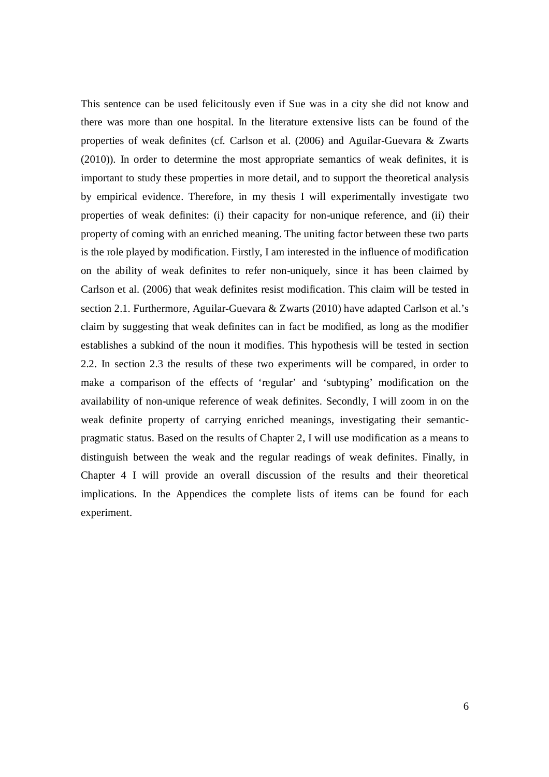This sentence can be used felicitously even if Sue was in a city she did not know and there was more than one hospital. In the literature extensive lists can be found of the properties of weak definites (cf. Carlson et al. (2006) and Aguilar-Guevara & Zwarts (2010)). In order to determine the most appropriate semantics of weak definites, it is important to study these properties in more detail, and to support the theoretical analysis by empirical evidence. Therefore, in my thesis I will experimentally investigate two properties of weak definites: (i) their capacity for non-unique reference, and (ii) their property of coming with an enriched meaning. The uniting factor between these two parts is the role played by modification. Firstly, I am interested in the influence of modification on the ability of weak definites to refer non-uniquely, since it has been claimed by Carlson et al. (2006) that weak definites resist modification. This claim will be tested in section 2.1. Furthermore, Aguilar-Guevara & Zwarts (2010) have adapted Carlson et al.'s claim by suggesting that weak definites can in fact be modified, as long as the modifier establishes a subkind of the noun it modifies. This hypothesis will be tested in section 2.2. In section 2.3 the results of these two experiments will be compared, in order to make a comparison of the effects of 'regular' and 'subtyping' modification on the availability of non-unique reference of weak definites. Secondly, I will zoom in on the weak definite property of carrying enriched meanings, investigating their semanticpragmatic status. Based on the results of Chapter 2, I will use modification as a means to distinguish between the weak and the regular readings of weak definites. Finally, in Chapter 4 I will provide an overall discussion of the results and their theoretical implications. In the Appendices the complete lists of items can be found for each experiment.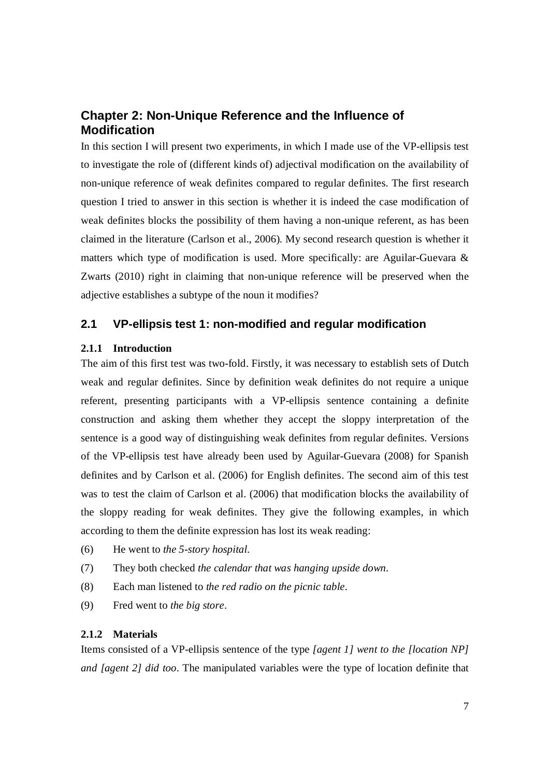# **Chapter 2: Non-Unique Reference and the Influence of Modification**

In this section I will present two experiments, in which I made use of the VP-ellipsis test to investigate the role of (different kinds of) adjectival modification on the availability of non-unique reference of weak definites compared to regular definites. The first research question I tried to answer in this section is whether it is indeed the case modification of weak definites blocks the possibility of them having a non-unique referent, as has been claimed in the literature (Carlson et al., 2006). My second research question is whether it matters which type of modification is used. More specifically: are Aguilar-Guevara & Zwarts (2010) right in claiming that non-unique reference will be preserved when the adjective establishes a subtype of the noun it modifies?

# **2.1 VP-ellipsis test 1: non-modified and regular modification**

# **2.1.1 Introduction**

The aim of this first test was two-fold. Firstly, it was necessary to establish sets of Dutch weak and regular definites. Since by definition weak definites do not require a unique referent, presenting participants with a VP-ellipsis sentence containing a definite construction and asking them whether they accept the sloppy interpretation of the sentence is a good way of distinguishing weak definites from regular definites. Versions of the VP-ellipsis test have already been used by Aguilar-Guevara (2008) for Spanish definites and by Carlson et al. (2006) for English definites. The second aim of this test was to test the claim of Carlson et al. (2006) that modification blocks the availability of the sloppy reading for weak definites. They give the following examples, in which according to them the definite expression has lost its weak reading:

- (6) He went to *the 5-story hospital*.
- (7) They both checked *the calendar that was hanging upside down*.
- (8) Each man listened to *the red radio on the picnic table*.
- (9) Fred went to *the big store*.

### **2.1.2 Materials**

Items consisted of a VP-ellipsis sentence of the type *[agent 1] went to the [location NP] and [agent 2] did too*. The manipulated variables were the type of location definite that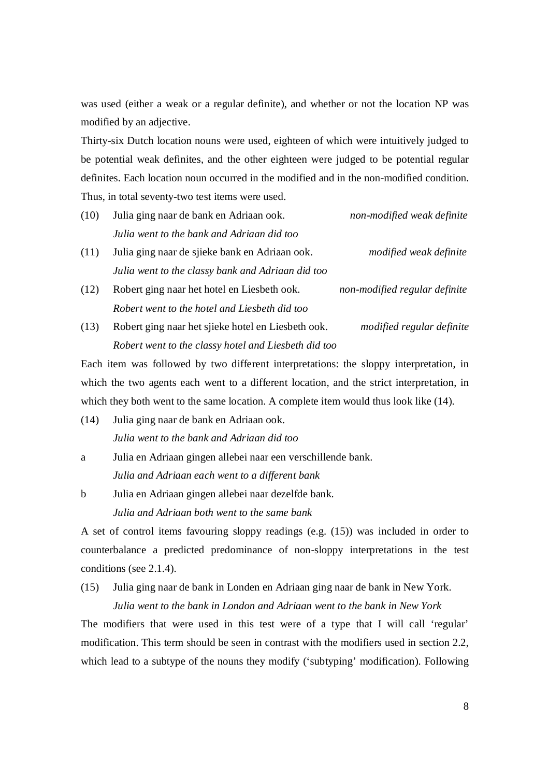was used (either a weak or a regular definite), and whether or not the location NP was modified by an adjective.

Thirty-six Dutch location nouns were used, eighteen of which were intuitively judged to be potential weak definites, and the other eighteen were judged to be potential regular definites. Each location noun occurred in the modified and in the non-modified condition. Thus, in total seventy-two test items were used.

- (10) Julia ging naar de bank en Adriaan ook. *non-modified weak definite Julia went to the bank and Adriaan did too*
- (11) Julia ging naar de sjieke bank en Adriaan ook. *modified weak definite Julia went to the classy bank and Adriaan did too*
- (12) Robert ging naar het hotel en Liesbeth ook. *non-modified regular definite Robert went to the hotel and Liesbeth did too*
- (13) Robert ging naar het sjieke hotel en Liesbeth ook. *modified regular definite Robert went to the classy hotel and Liesbeth did too*

Each item was followed by two different interpretations: the sloppy interpretation, in which the two agents each went to a different location, and the strict interpretation, in which they both went to the same location. A complete item would thus look like (14).

- (14) Julia ging naar de bank en Adriaan ook. *Julia went to the bank and Adriaan did too*
- a Julia en Adriaan gingen allebei naar een verschillende bank. *Julia and Adriaan each went to a different bank*
- b Julia en Adriaan gingen allebei naar dezelfde bank. *Julia and Adriaan both went to the same bank*

A set of control items favouring sloppy readings (e.g. (15)) was included in order to counterbalance a predicted predominance of non-sloppy interpretations in the test conditions (see 2.1.4).

(15) Julia ging naar de bank in Londen en Adriaan ging naar de bank in New York.

*Julia went to the bank in London and Adriaan went to the bank in New York*

The modifiers that were used in this test were of a type that I will call 'regular' modification. This term should be seen in contrast with the modifiers used in section 2.2, which lead to a subtype of the nouns they modify ('subtyping' modification). Following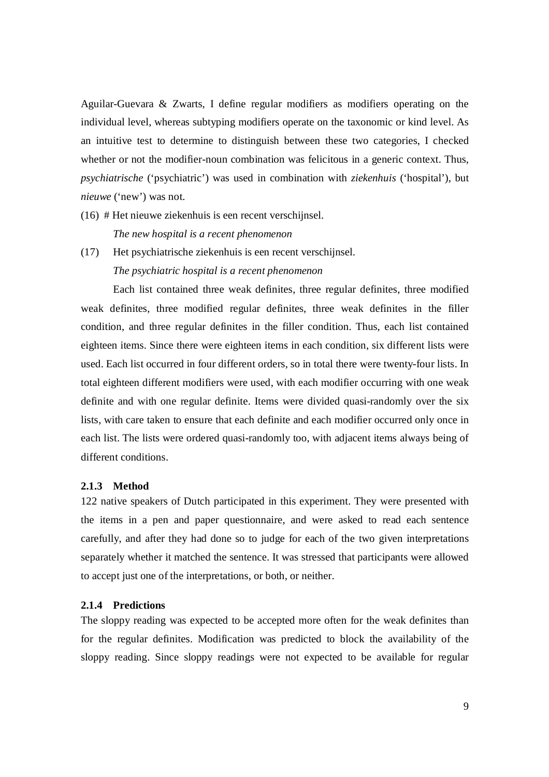Aguilar-Guevara & Zwarts, I define regular modifiers as modifiers operating on the individual level, whereas subtyping modifiers operate on the taxonomic or kind level. As an intuitive test to determine to distinguish between these two categories, I checked whether or not the modifier-noun combination was felicitous in a generic context. Thus, *psychiatrische* ('psychiatric') was used in combination with *ziekenhuis* ('hospital'), but *nieuwe* ('new') was not.

(16) # Het nieuwe ziekenhuis is een recent verschijnsel.

*The new hospital is a recent phenomenon*

(17) Het psychiatrische ziekenhuis is een recent verschijnsel. *The psychiatric hospital is a recent phenomenon*

Each list contained three weak definites, three regular definites, three modified weak definites, three modified regular definites, three weak definites in the filler condition, and three regular definites in the filler condition. Thus, each list contained eighteen items. Since there were eighteen items in each condition, six different lists were used. Each list occurred in four different orders, so in total there were twenty-four lists. In total eighteen different modifiers were used, with each modifier occurring with one weak definite and with one regular definite. Items were divided quasi-randomly over the six lists, with care taken to ensure that each definite and each modifier occurred only once in each list. The lists were ordered quasi-randomly too, with adjacent items always being of different conditions.

### **2.1.3 Method**

122 native speakers of Dutch participated in this experiment. They were presented with the items in a pen and paper questionnaire, and were asked to read each sentence carefully, and after they had done so to judge for each of the two given interpretations separately whether it matched the sentence. It was stressed that participants were allowed to accept just one of the interpretations, or both, or neither.

# **2.1.4 Predictions**

The sloppy reading was expected to be accepted more often for the weak definites than for the regular definites. Modification was predicted to block the availability of the sloppy reading. Since sloppy readings were not expected to be available for regular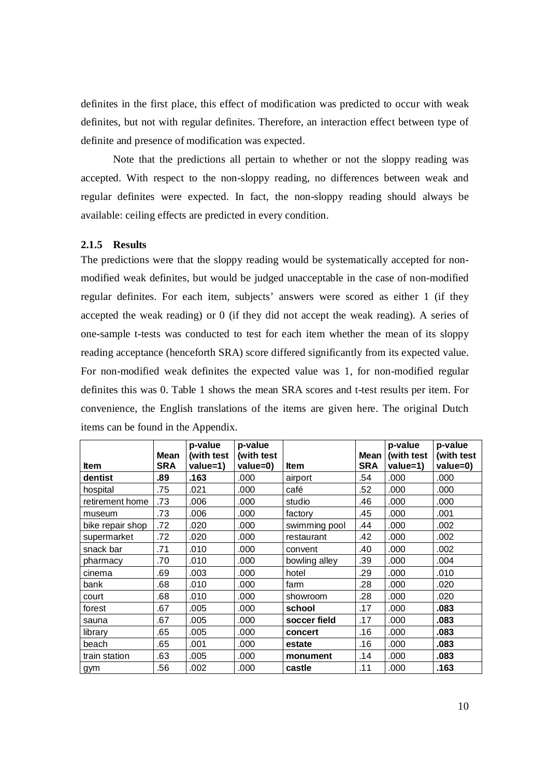definites in the first place, this effect of modification was predicted to occur with weak definites, but not with regular definites. Therefore, an interaction effect between type of definite and presence of modification was expected.

Note that the predictions all pertain to whether or not the sloppy reading was accepted. With respect to the non-sloppy reading, no differences between weak and regular definites were expected. In fact, the non-sloppy reading should always be available: ceiling effects are predicted in every condition.

### **2.1.5 Results**

The predictions were that the sloppy reading would be systematically accepted for nonmodified weak definites, but would be judged unacceptable in the case of non-modified regular definites. For each item, subjects' answers were scored as either 1 (if they accepted the weak reading) or 0 (if they did not accept the weak reading). A series of one-sample t-tests was conducted to test for each item whether the mean of its sloppy reading acceptance (henceforth SRA) score differed significantly from its expected value. For non-modified weak definites the expected value was 1, for non-modified regular definites this was 0. Table 1 shows the mean SRA scores and t-test results per item. For convenience, the English translations of the items are given here. The original Dutch items can be found in the Appendix.

|                  | <b>Mean</b> | p-value<br>(with test | p-value<br>(with test |               | Mean l     | p-value<br>(with test | p-value<br>(with test |
|------------------|-------------|-----------------------|-----------------------|---------------|------------|-----------------------|-----------------------|
| ltem             | <b>SRA</b>  | value=1)              | value=0)              | ltem          | <b>SRA</b> | value=1)              | value=0)              |
| dentist          | .89         | .163                  | .000                  | airport       | .54        | .000                  | .000                  |
| hospital         | .75         | .021                  | .000                  | café          | .52        | .000                  | .000                  |
| retirement home  | .73         | .006                  | .000                  | studio        | .46        | .000                  | .000                  |
| museum           | .73         | .006                  | .000                  | factory       | .45        | .000                  | .001                  |
| bike repair shop | .72         | .020                  | .000                  | swimming pool | .44        | .000                  | .002                  |
| supermarket      | .72         | .020                  | .000                  | restaurant    | .42        | .000                  | .002                  |
| snack bar        | .71         | .010                  | .000                  | convent       | .40        | .000                  | .002                  |
| pharmacy         | .70         | .010                  | .000                  | bowling alley | .39        | .000                  | .004                  |
| cinema           | .69         | .003                  | .000                  | hotel         | .29        | .000                  | .010                  |
| bank             | .68         | .010                  | .000                  | fam           | .28        | .000                  | .020                  |
| court            | .68         | .010                  | .000                  | showroom      | .28        | .000                  | .020                  |
| forest           | .67         | .005                  | .000                  | school        | .17        | .000                  | .083                  |
| sauna            | .67         | .005                  | .000                  | soccer field  | .17        | .000                  | .083                  |
| library          | .65         | .005                  | .000                  | concert       | .16        | .000                  | .083                  |
| beach            | .65         | .001                  | .000                  | estate        | .16        | .000                  | .083                  |
| train station    | .63         | .005                  | .000                  | monument      | .14        | .000                  | .083                  |
| gym              | .56         | .002                  | .000                  | castle        | .11        | .000                  | .163                  |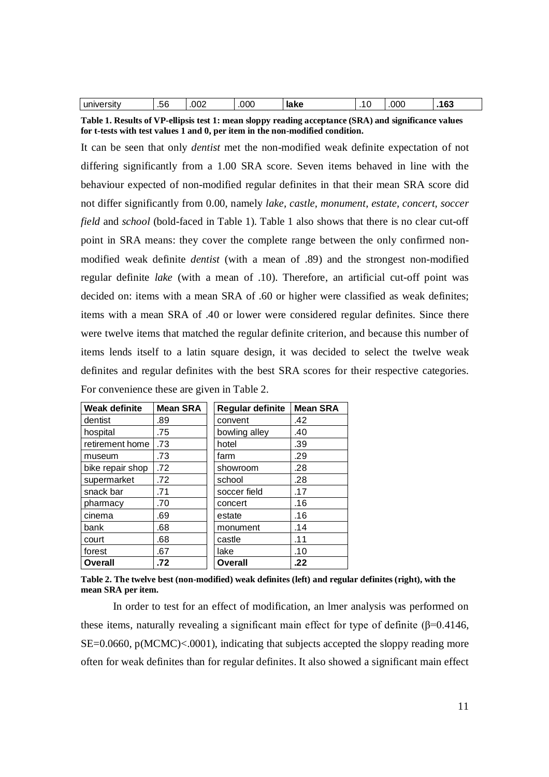| _<br>-<br>un<br>--<br>יודי -<br>.oo<br>ના આ | 002 | OOC | akc<br>la nc<br>___ |  | 70C | $\overline{\phantom{a}}$<br>v. |
|---------------------------------------------|-----|-----|---------------------|--|-----|--------------------------------|
|---------------------------------------------|-----|-----|---------------------|--|-----|--------------------------------|

**Table 1. Results of VP-ellipsis test 1: mean sloppy reading acceptance (SRA) and significance values for t-tests with test values 1 and 0, per item in the non-modified condition.**

It can be seen that only *dentist* met the non-modified weak definite expectation of not differing significantly from a 1.00 SRA score. Seven items behaved in line with the behaviour expected of non-modified regular definites in that their mean SRA score did not differ significantly from 0.00, namely *lake, castle, monument, estate, concert, soccer field* and *school* (bold-faced in Table 1)*.* Table 1 also shows that there is no clear cut-off point in SRA means: they cover the complete range between the only confirmed nonmodified weak definite *dentist* (with a mean of .89) and the strongest non-modified regular definite *lake* (with a mean of .10). Therefore, an artificial cut-off point was decided on: items with a mean SRA of .60 or higher were classified as weak definites; items with a mean SRA of .40 or lower were considered regular definites. Since there were twelve items that matched the regular definite criterion, and because this number of items lends itself to a latin square design, it was decided to select the twelve weak definites and regular definites with the best SRA scores for their respective categories. For convenience these are given in Table 2.

| Weak definite    | <b>Mean SRA</b> | <b>Regular definite</b> | <b>Mean SRA</b> |
|------------------|-----------------|-------------------------|-----------------|
| dentist          | .89             | convent                 | .42             |
| hospital         | .75             | bowling alley           | .40             |
| retirement home  | .73             | hotel                   | .39             |
| museum           | .73             | farm                    | .29             |
| bike repair shop | .72             | showroom                | .28             |
| supermarket      | .72             | school                  | .28             |
| snack bar        | .71             | soccer field            | .17             |
| pharmacy         | .70             | concert                 | .16             |
| cinema           | .69             | estate                  | .16             |
| bank             | .68             | monument                | .14             |
| court            | .68             | castle                  | .11             |
| forest           | .67             | lake                    | .10             |
| <b>Overall</b>   | .72             | <b>Overall</b>          | .22             |

**Table 2. The twelve best (non-modified) weak definites (left) and regular definites (right), with the mean SRA per item.**

In order to test for an effect of modification, an lmer analysis was performed on these items, naturally revealing a significant main effect for type of definite ( $\beta$ =0.4146,  $SE=0.0660$ ,  $p(MCMC) < .0001$ ), indicating that subjects accepted the sloppy reading more often for weak definites than for regular definites. It also showed a significant main effect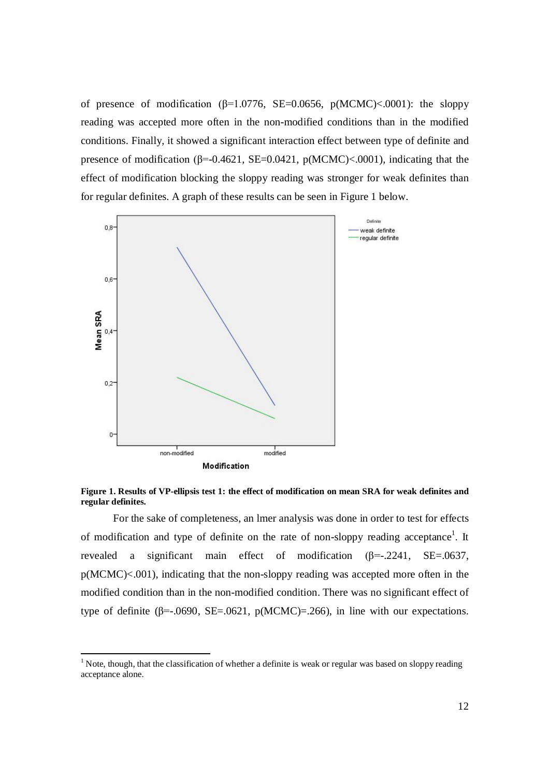of presence of modification (β=1.0776, SE=0.0656, p(MCMC)<.0001): the sloppy reading was accepted more often in the non-modified conditions than in the modified conditions. Finally, it showed a significant interaction effect between type of definite and presence of modification ( $\beta$ =-0.4621, SE=0.0421, p(MCMC)<.0001), indicating that the effect of modification blocking the sloppy reading was stronger for weak definites than for regular definites. A graph of these results can be seen in Figure 1 below.



### **Figure 1. Results of VP-ellipsis test 1: the effect of modification on mean SRA for weak definites and regular definites.**

For the sake of completeness, an lmer analysis was done in order to test for effects of modification and type of definite on the rate of non-sloppy reading acceptance<sup>1</sup>. It revealed a significant main effect of modification (β=-.2241, SE=.0637, p(MCMC)<.001), indicating that the non-sloppy reading was accepted more often in the modified condition than in the non-modified condition. There was no significant effect of type of definite ( $\beta$ =-.0690, SE=.0621, p(MCMC)=.266), in line with our expectations.

The 1 Note, though, that the classification of whether a definite is weak or regular was based on sloppy reading acceptance alone.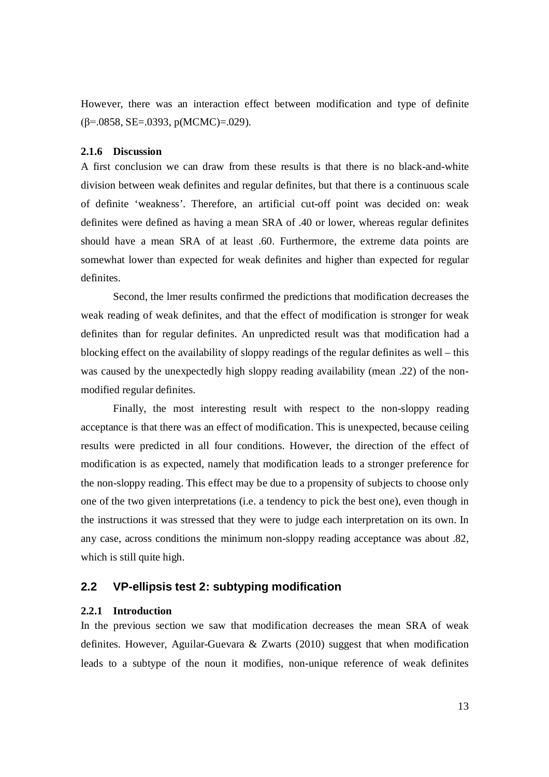However, there was an interaction effect between modification and type of definite  $(\beta = .0858, SE = .0393, p(MCMC) = .029)$ .

#### **2.1.6 Discussion**

A first conclusion we can draw from these results is that there is no black-and-white division between weak definites and regular definites, but that there is a continuous scale of definite 'weakness'. Therefore, an artificial cut-off point was decided on: weak definites were defined as having a mean SRA of .40 or lower, whereas regular definites should have a mean SRA of at least .60. Furthermore, the extreme data points are somewhat lower than expected for weak definites and higher than expected for regular definites.

Second, the lmer results confirmed the predictions that modification decreases the weak reading of weak definites, and that the effect of modification is stronger for weak definites than for regular definites. An unpredicted result was that modification had a blocking effect on the availability of sloppy readings of the regular definites as well – this was caused by the unexpectedly high sloppy reading availability (mean .22) of the nonmodified regular definites.

Finally, the most interesting result with respect to the non-sloppy reading acceptance is that there was an effect of modification. This is unexpected, because ceiling results were predicted in all four conditions. However, the direction of the effect of modification is as expected, namely that modification leads to a stronger preference for the non-sloppy reading. This effect may be due to a propensity of subjects to choose only one of the two given interpretations (i.e. a tendency to pick the best one), even though in the instructions it was stressed that they were to judge each interpretation on its own. In any case, across conditions the minimum non-sloppy reading acceptance was about .82, which is still quite high.

# **2.2 VP-ellipsis test 2: subtyping modification**

### **2.2.1 Introduction**

In the previous section we saw that modification decreases the mean SRA of weak definites. However, Aguilar-Guevara & Zwarts (2010) suggest that when modification leads to a subtype of the noun it modifies, non-unique reference of weak definites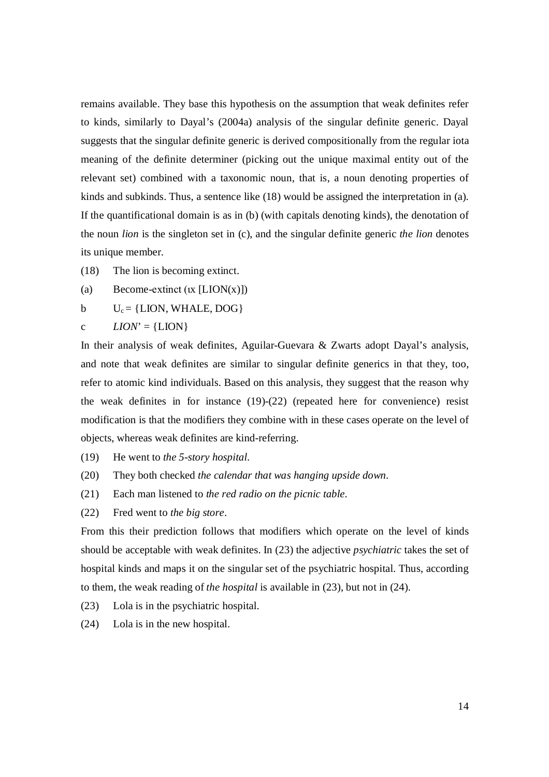remains available. They base this hypothesis on the assumption that weak definites refer to kinds, similarly to Dayal's (2004a) analysis of the singular definite generic. Dayal suggests that the singular definite generic is derived compositionally from the regular iota meaning of the definite determiner (picking out the unique maximal entity out of the relevant set) combined with a taxonomic noun, that is, a noun denoting properties of kinds and subkinds. Thus, a sentence like (18) would be assigned the interpretation in (a). If the quantificational domain is as in (b) (with capitals denoting kinds), the denotation of the noun *lion* is the singleton set in (c), and the singular definite generic *the lion* denotes its unique member.

(18) The lion is becoming extinct.

(a) Become-extinct  $( x | LION(x) ]$ 

b  $U_c = \{LION, WHALE, DOG\}$ 

c  $LION = \{LION\}$ 

In their analysis of weak definites, Aguilar-Guevara & Zwarts adopt Dayal's analysis, and note that weak definites are similar to singular definite generics in that they, too, refer to atomic kind individuals. Based on this analysis, they suggest that the reason why the weak definites in for instance  $(19)-(22)$  (repeated here for convenience) resist modification is that the modifiers they combine with in these cases operate on the level of objects, whereas weak definites are kind-referring.

- (19) He went to *the 5-story hospital*.
- (20) They both checked *the calendar that was hanging upside down*.
- (21) Each man listened to *the red radio on the picnic table*.
- (22) Fred went to *the big store*.

From this their prediction follows that modifiers which operate on the level of kinds should be acceptable with weak definites. In (23) the adjective *psychiatric* takes the set of hospital kinds and maps it on the singular set of the psychiatric hospital. Thus, according to them, the weak reading of *the hospital* is available in (23), but not in (24).

- (23) Lola is in the psychiatric hospital.
- (24) Lola is in the new hospital.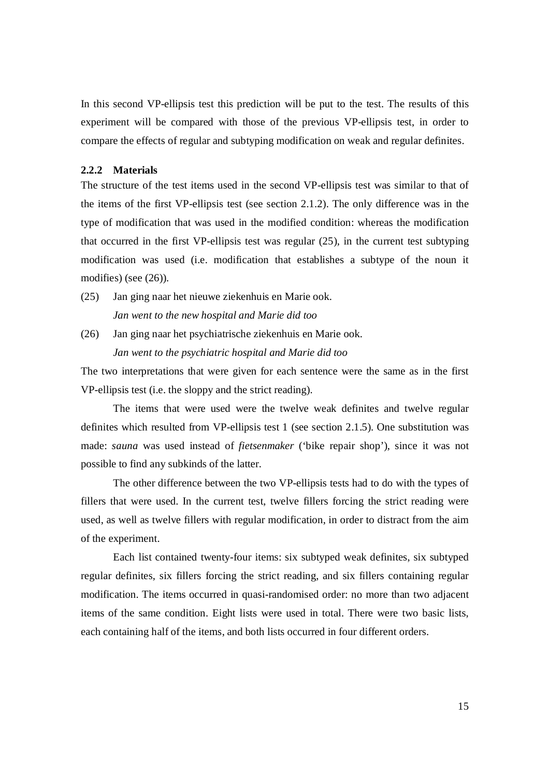In this second VP-ellipsis test this prediction will be put to the test. The results of this experiment will be compared with those of the previous VP-ellipsis test, in order to compare the effects of regular and subtyping modification on weak and regular definites.

#### **2.2.2 Materials**

The structure of the test items used in the second VP-ellipsis test was similar to that of the items of the first VP-ellipsis test (see section 2.1.2). The only difference was in the type of modification that was used in the modified condition: whereas the modification that occurred in the first VP-ellipsis test was regular (25), in the current test subtyping modification was used (i.e. modification that establishes a subtype of the noun it modifies) (see (26)).

- (25) Jan ging naar het nieuwe ziekenhuis en Marie ook. *Jan went to the new hospital and Marie did too*
- (26) Jan ging naar het psychiatrische ziekenhuis en Marie ook. *Jan went to the psychiatric hospital and Marie did too*

The two interpretations that were given for each sentence were the same as in the first VP-ellipsis test (i.e. the sloppy and the strict reading).

The items that were used were the twelve weak definites and twelve regular definites which resulted from VP-ellipsis test 1 (see section 2.1.5). One substitution was made: *sauna* was used instead of *fietsenmaker* ('bike repair shop'), since it was not possible to find any subkinds of the latter.

The other difference between the two VP-ellipsis tests had to do with the types of fillers that were used. In the current test, twelve fillers forcing the strict reading were used, as well as twelve fillers with regular modification, in order to distract from the aim of the experiment.

Each list contained twenty-four items: six subtyped weak definites, six subtyped regular definites, six fillers forcing the strict reading, and six fillers containing regular modification. The items occurred in quasi-randomised order: no more than two adjacent items of the same condition. Eight lists were used in total. There were two basic lists, each containing half of the items, and both lists occurred in four different orders.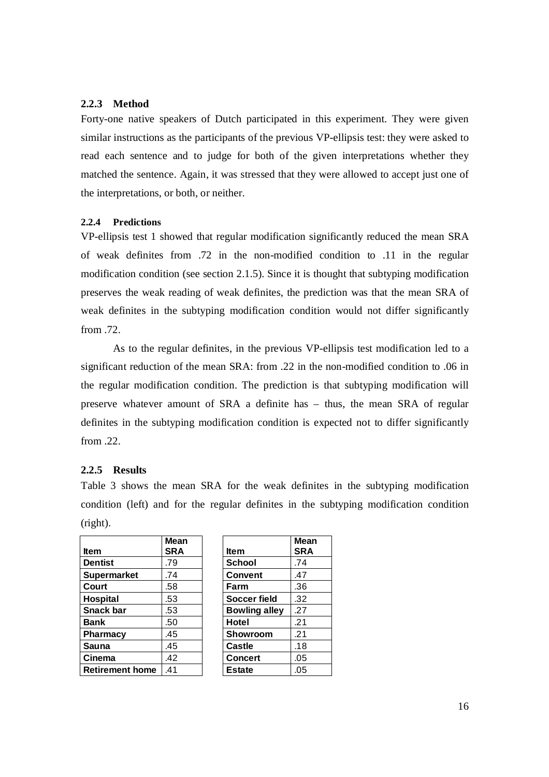# **2.2.3 Method**

Forty-one native speakers of Dutch participated in this experiment. They were given similar instructions as the participants of the previous VP-ellipsis test: they were asked to read each sentence and to judge for both of the given interpretations whether they matched the sentence. Again, it was stressed that they were allowed to accept just one of the interpretations, or both, or neither.

#### **2.2.4 Predictions**

VP-ellipsis test 1 showed that regular modification significantly reduced the mean SRA of weak definites from .72 in the non-modified condition to .11 in the regular modification condition (see section 2.1.5). Since it is thought that subtyping modification preserves the weak reading of weak definites, the prediction was that the mean SRA of weak definites in the subtyping modification condition would not differ significantly from .72.

As to the regular definites, in the previous VP-ellipsis test modification led to a significant reduction of the mean SRA: from .22 in the non-modified condition to .06 in the regular modification condition. The prediction is that subtyping modification will preserve whatever amount of SRA a definite has – thus, the mean SRA of regular definites in the subtyping modification condition is expected not to differ significantly from .22.

# **2.2.5 Results**

Table 3 shows the mean SRA for the weak definites in the subtyping modification condition (left) and for the regular definites in the subtyping modification condition (right).

|                        | <b>Mean</b> |                      | Me        |
|------------------------|-------------|----------------------|-----------|
| <b>Item</b>            | <b>SRA</b>  | <b>Item</b>          | <b>SR</b> |
| <b>Dentist</b>         | .79         | <b>School</b>        | .74       |
| <b>Supermarket</b>     | .74         | <b>Convent</b>       | .47       |
| Court                  | .58         | Farm                 | .36       |
| Hospital               | .53         | Soccer field         | .32       |
| <b>Snack bar</b>       | .53         | <b>Bowling alley</b> | .27       |
| <b>Bank</b>            | .50         | <b>Hotel</b>         | .21       |
| <b>Pharmacy</b>        | .45         | Showroom             | .21       |
| Sauna                  | .45         | Castle               | .18       |
| Cinema                 | .42         | <b>Concert</b>       | .05       |
| <b>Retirement home</b> | .41         | <b>Estate</b>        | .05       |

|                      | Mean       |
|----------------------|------------|
| ltem                 | <b>SRA</b> |
| <b>School</b>        | .74        |
| Convent              | .47        |
| Farm                 | .36        |
| <b>Soccer field</b>  | .32        |
| <b>Bowling alley</b> | .27        |
| Hotel                | .21        |
| Showroom             | .21        |
| <b>Castle</b>        | .18        |
| <b>Concert</b>       | .05        |
| <b>Estate</b>        | .05        |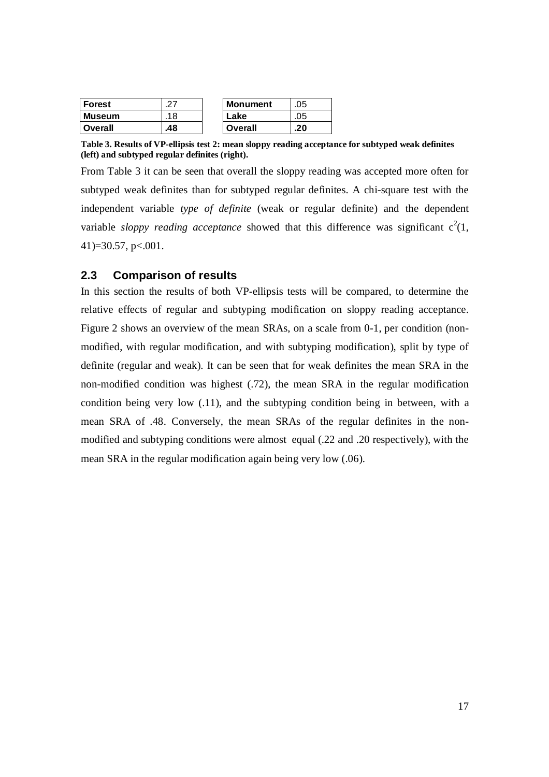| <b>Forest</b>  |     | <b>Monument</b> | .05 |
|----------------|-----|-----------------|-----|
| <b>Museum</b>  | 18  | Lake            | .05 |
| <b>Overall</b> | .48 | Overall         | .20 |

**Table 3. Results of VP-ellipsis test 2: mean sloppy reading acceptance for subtyped weak definites (left) and subtyped regular definites (right).**

From Table 3 it can be seen that overall the sloppy reading was accepted more often for subtyped weak definites than for subtyped regular definites. A chi-square test with the independent variable *type of definite* (weak or regular definite) and the dependent variable *sloppy reading acceptance* showed that this difference was significant  $c^2(1, 1)$ 41)=30.57, p<.001.

# **2.3 Comparison of results**

In this section the results of both VP-ellipsis tests will be compared, to determine the relative effects of regular and subtyping modification on sloppy reading acceptance. Figure 2 shows an overview of the mean SRAs, on a scale from 0-1, per condition (nonmodified, with regular modification, and with subtyping modification), split by type of definite (regular and weak). It can be seen that for weak definites the mean SRA in the non-modified condition was highest (.72), the mean SRA in the regular modification condition being very low (.11), and the subtyping condition being in between, with a mean SRA of .48. Conversely, the mean SRAs of the regular definites in the nonmodified and subtyping conditions were almost equal (.22 and .20 respectively), with the mean SRA in the regular modification again being very low (.06).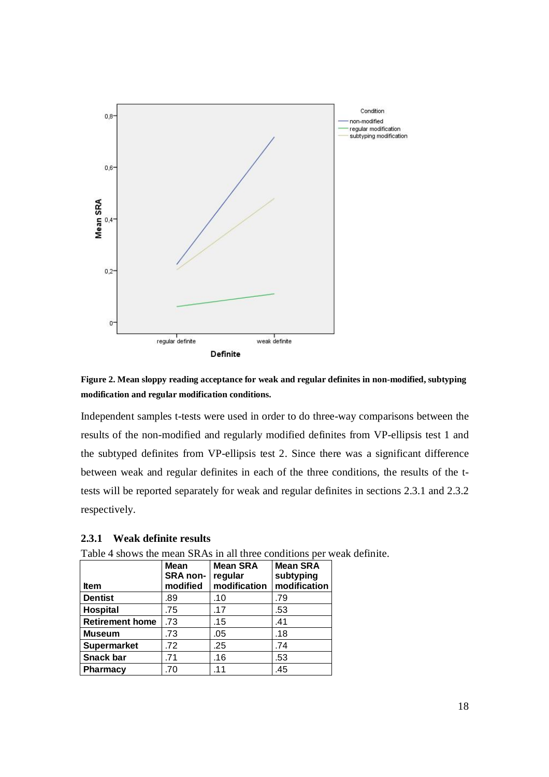

**Figure 2. Mean sloppy reading acceptance for weak and regular definites in non-modified, subtyping modification and regular modification conditions.**

Independent samples t-tests were used in order to do three-way comparisons between the results of the non-modified and regularly modified definites from VP-ellipsis test 1 and the subtyped definites from VP-ellipsis test 2. Since there was a significant difference between weak and regular definites in each of the three conditions, the results of the ttests will be reported separately for weak and regular definites in sections 2.3.1 and 2.3.2 respectively.

### **2.3.1 Weak definite results**

| I ave 4 shows the mean SKAS in an unee conditions per weak of |                          |                 |                              |  |  |  |
|---------------------------------------------------------------|--------------------------|-----------------|------------------------------|--|--|--|
|                                                               | Mean<br>SRA non- regular | <b>Mean SRA</b> | <b>Mean SRA</b><br>subtyping |  |  |  |
| <b>Item</b>                                                   | modified                 | modification    | modification                 |  |  |  |
| <b>Dentist</b>                                                | .89                      | .10             | .79                          |  |  |  |
| <b>Hospital</b>                                               | .75                      | .17             | .53                          |  |  |  |
| <b>Retirement home</b>                                        | .73                      | .15             | .41                          |  |  |  |
| <b>Museum</b>                                                 |                          | .05             | .18                          |  |  |  |

**Supermarket** .72 .25 .74 **Snack bar** 1.71 1.16 1.53 **Pharmacy** .70 .11 .45

Table 4 shows the mean SRAs in all three conditions per weak definite.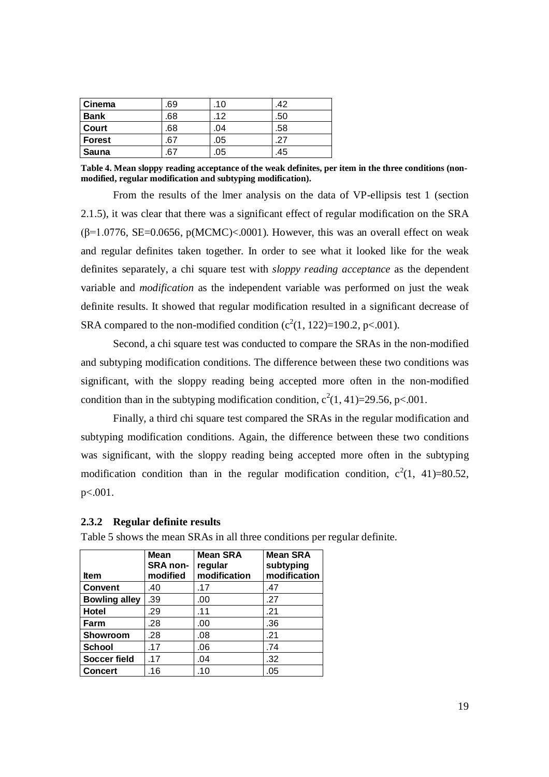| <b>Cinema</b> | .69 | .10 | .42 |
|---------------|-----|-----|-----|
| <b>Bank</b>   | .68 | .12 | .50 |
| Court         | .68 | .04 | .58 |
| Forest        | .67 | .05 | .27 |
| Sauna         | .67 | .05 | .45 |

**Table 4. Mean sloppy reading acceptance of the weak definites, per item in the three conditions (nonmodified, regular modification and subtyping modification).**

From the results of the lmer analysis on the data of VP-ellipsis test 1 (section 2.1.5), it was clear that there was a significant effect of regular modification on the SRA ( $\beta$ =1.0776, SE=0.0656, p(MCMC)<.0001). However, this was an overall effect on weak and regular definites taken together. In order to see what it looked like for the weak definites separately, a chi square test with *sloppy reading acceptance* as the dependent variable and *modification* as the independent variable was performed on just the weak definite results. It showed that regular modification resulted in a significant decrease of SRA compared to the non-modified condition  $(c^2(1, 122)=190.2, p<.001)$ .

Second, a chi square test was conducted to compare the SRAs in the non-modified and subtyping modification conditions. The difference between these two conditions was significant, with the sloppy reading being accepted more often in the non-modified condition than in the subtyping modification condition,  $c^2(1, 41) = 29.56$ , p<.001.

Finally, a third chi square test compared the SRAs in the regular modification and subtyping modification conditions. Again, the difference between these two conditions was significant, with the sloppy reading being accepted more often in the subtyping modification condition than in the regular modification condition,  $c^2(1, 41)=80.52$ , p<.001.

### **2.3.2 Regular definite results**

|                      | <b>Mean</b><br><b>SRA non-</b> | <b>Mean SRA</b><br>regular | <b>Mean SRA</b><br>subtyping |
|----------------------|--------------------------------|----------------------------|------------------------------|
| <b>Item</b>          | modified                       | modification               | modification                 |
| <b>Convent</b>       | .40                            | .17                        | .47                          |
| <b>Bowling alley</b> | .39                            | .00                        | .27                          |
| Hotel                | .29                            | .11                        | .21                          |
| Farm                 | .28                            | .00                        | .36                          |
| Showroom             | .28                            | .08                        | .21                          |
| <b>School</b>        | .17                            | .06                        | .74                          |
| <b>Soccer field</b>  | .17                            | .04                        | .32                          |
| <b>Concert</b>       | .16                            | .10                        | .05                          |

Table 5 shows the mean SRAs in all three conditions per regular definite.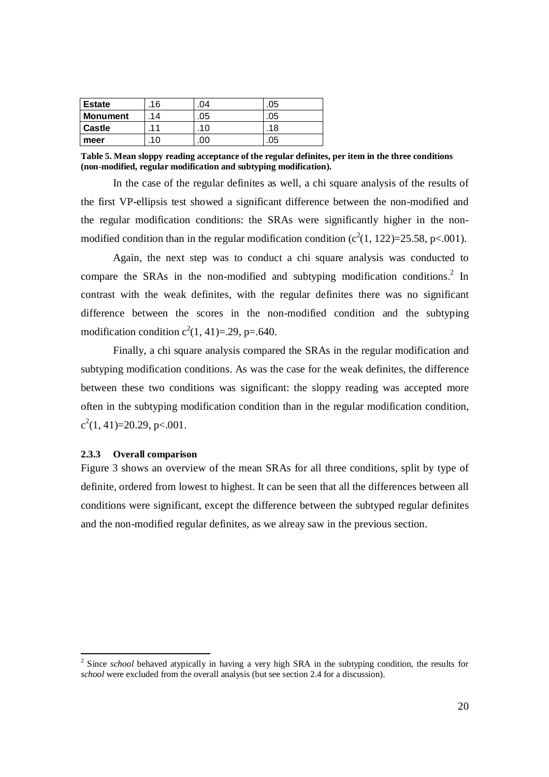| <b>Estate</b>   | .16            | 04  | .05 |
|-----------------|----------------|-----|-----|
| <b>Monument</b> | 14             | .05 | .05 |
| <b>Castle</b>   | $\overline{1}$ | .10 | .18 |
| meer            | .10            |     | .05 |

**Table 5. Mean sloppy reading acceptance of the regular definites, per item in the three conditions (non-modified, regular modification and subtyping modification).**

In the case of the regular definites as well, a chi square analysis of the results of the first VP-ellipsis test showed a significant difference between the non-modified and the regular modification conditions: the SRAs were significantly higher in the nonmodified condition than in the regular modification condition  $(c^2(1, 122)=25.58, p<.001)$ .

Again, the next step was to conduct a chi square analysis was conducted to compare the SRAs in the non-modified and subtyping modification conditions.<sup>2</sup> In contrast with the weak definites, with the regular definites there was no significant difference between the scores in the non-modified condition and the subtyping modification condition  $c^2(1, 41) = 29$ , p=.640.

Finally, a chi square analysis compared the SRAs in the regular modification and subtyping modification conditions. As was the case for the weak definites, the difference between these two conditions was significant: the sloppy reading was accepted more often in the subtyping modification condition than in the regular modification condition,  $c^2(1, 41)=20.29$ , p<.001.

#### **2.3.3 Overall comparison**

-

Figure 3 shows an overview of the mean SRAs for all three conditions, split by type of definite, ordered from lowest to highest. It can be seen that all the differences between all conditions were significant, except the difference between the subtyped regular definites and the non-modified regular definites, as we alreay saw in the previous section.

<sup>&</sup>lt;sup>2</sup> Since *school* behaved atypically in having a very high SRA in the subtyping condition, the results for *school* were excluded from the overall analysis (but see section 2.4 for a discussion).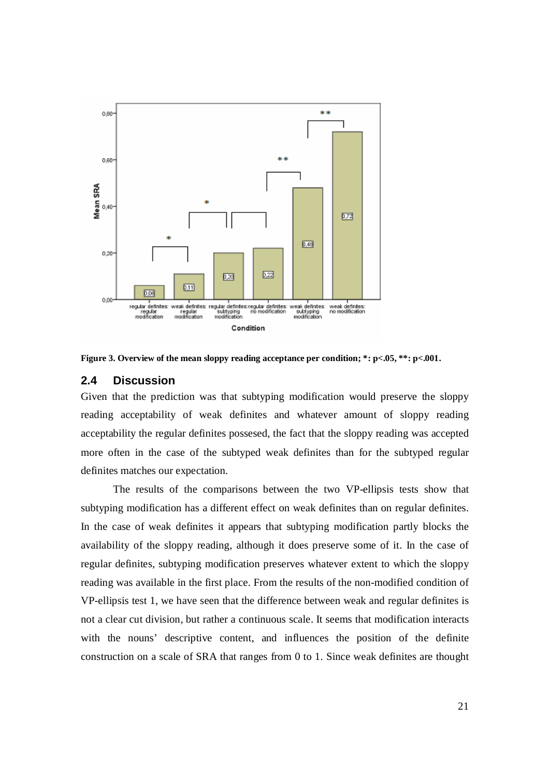

**Figure 3. Overview of the mean sloppy reading acceptance per condition; \*: p<.05, \*\*: p<.001.**

# **2.4 Discussion**

Given that the prediction was that subtyping modification would preserve the sloppy reading acceptability of weak definites and whatever amount of sloppy reading acceptability the regular definites possesed, the fact that the sloppy reading was accepted more often in the case of the subtyped weak definites than for the subtyped regular definites matches our expectation.

The results of the comparisons between the two VP-ellipsis tests show that subtyping modification has a different effect on weak definites than on regular definites. In the case of weak definites it appears that subtyping modification partly blocks the availability of the sloppy reading, although it does preserve some of it. In the case of regular definites, subtyping modification preserves whatever extent to which the sloppy reading was available in the first place. From the results of the non-modified condition of VP-ellipsis test 1, we have seen that the difference between weak and regular definites is not a clear cut division, but rather a continuous scale. It seems that modification interacts with the nouns' descriptive content, and influences the position of the definite construction on a scale of SRA that ranges from 0 to 1. Since weak definites are thought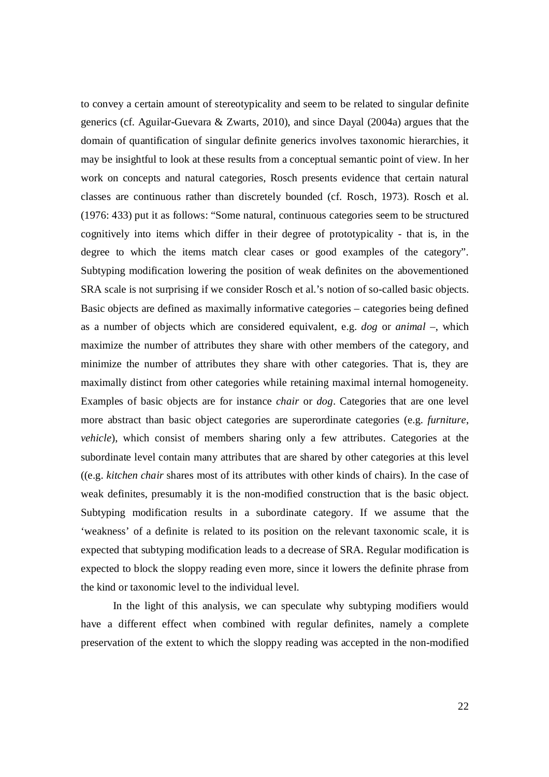to convey a certain amount of stereotypicality and seem to be related to singular definite generics (cf. Aguilar-Guevara & Zwarts, 2010), and since Dayal (2004a) argues that the domain of quantification of singular definite generics involves taxonomic hierarchies, it may be insightful to look at these results from a conceptual semantic point of view. In her work on concepts and natural categories, Rosch presents evidence that certain natural classes are continuous rather than discretely bounded (cf. Rosch, 1973). Rosch et al. (1976: 433) put it as follows: "Some natural, continuous categories seem to be structured cognitively into items which differ in their degree of prototypicality - that is, in the degree to which the items match clear cases or good examples of the category". Subtyping modification lowering the position of weak definites on the abovementioned SRA scale is not surprising if we consider Rosch et al.'s notion of so-called basic objects. Basic objects are defined as maximally informative categories – categories being defined as a number of objects which are considered equivalent, e.g. *dog* or *animal* –, which maximize the number of attributes they share with other members of the category, and minimize the number of attributes they share with other categories. That is, they are maximally distinct from other categories while retaining maximal internal homogeneity. Examples of basic objects are for instance *chair* or *dog*. Categories that are one level more abstract than basic object categories are superordinate categories (e.g. *furniture*, *vehicle*), which consist of members sharing only a few attributes. Categories at the subordinate level contain many attributes that are shared by other categories at this level ((e.g. *kitchen chair* shares most of its attributes with other kinds of chairs). In the case of weak definites, presumably it is the non-modified construction that is the basic object. Subtyping modification results in a subordinate category. If we assume that the 'weakness' of a definite is related to its position on the relevant taxonomic scale, it is expected that subtyping modification leads to a decrease of SRA. Regular modification is expected to block the sloppy reading even more, since it lowers the definite phrase from the kind or taxonomic level to the individual level.

In the light of this analysis, we can speculate why subtyping modifiers would have a different effect when combined with regular definites, namely a complete preservation of the extent to which the sloppy reading was accepted in the non-modified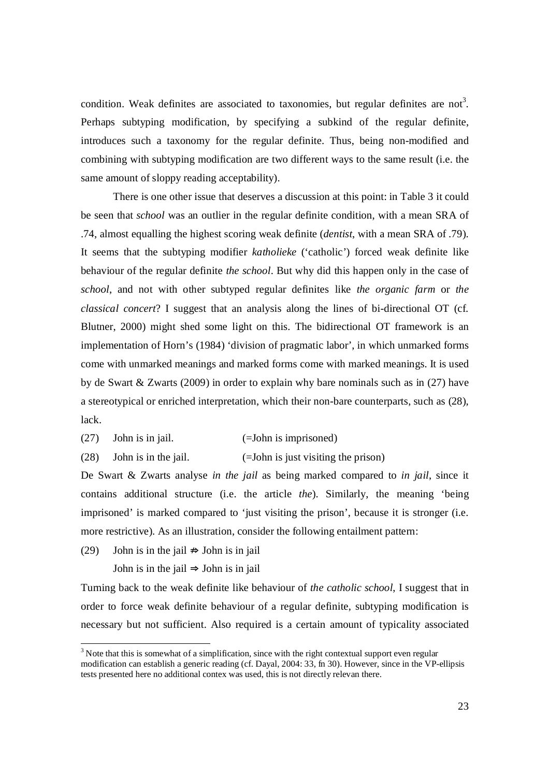condition. Weak definites are associated to taxonomies, but regular definites are not<sup>3</sup>. Perhaps subtyping modification, by specifying a subkind of the regular definite, introduces such a taxonomy for the regular definite. Thus, being non-modified and combining with subtyping modification are two different ways to the same result (i.e. the same amount of sloppy reading acceptability).

There is one other issue that deserves a discussion at this point: in Table 3 it could be seen that *school* was an outlier in the regular definite condition, with a mean SRA of .74, almost equalling the highest scoring weak definite (*dentist*, with a mean SRA of .79). It seems that the subtyping modifier *katholieke* ('catholic') forced weak definite like behaviour of the regular definite *the school*. But why did this happen only in the case of *school*, and not with other subtyped regular definites like *the organic farm* or *the classical concert*? I suggest that an analysis along the lines of bi-directional OT (cf. Blutner, 2000) might shed some light on this. The bidirectional OT framework is an implementation of Horn's (1984) 'division of pragmatic labor', in which unmarked forms come with unmarked meanings and marked forms come with marked meanings. It is used by de Swart & Zwarts (2009) in order to explain why bare nominals such as in (27) have a stereotypical or enriched interpretation, which their non-bare counterparts, such as (28), lack.

- (27) John is in jail. (=John is imprisoned)
- (28) John is in the jail. (=John is just visiting the prison)

De Swart & Zwarts analyse *in the jail* as being marked compared to *in jail*, since it contains additional structure (i.e. the article *the*). Similarly, the meaning 'being imprisoned' is marked compared to 'just visiting the prison', because it is stronger (i.e. more restrictive). As an illustration, consider the following entailment pattern:

(29) John is in the jail  $\Rightarrow$  John is in jail

-

John is in the jail  $\Rightarrow$  John is in jail

Turning back to the weak definite like behaviour of *the catholic school*, I suggest that in order to force weak definite behaviour of a regular definite, subtyping modification is necessary but not sufficient. Also required is a certain amount of typicality associated

 $3$  Note that this is somewhat of a simplification, since with the right contextual support even regular modification can establish a generic reading (cf. Dayal, 2004: 33, fn 30). However, since in the VP-ellipsis tests presented here no additional contex was used, this is not directly relevan there.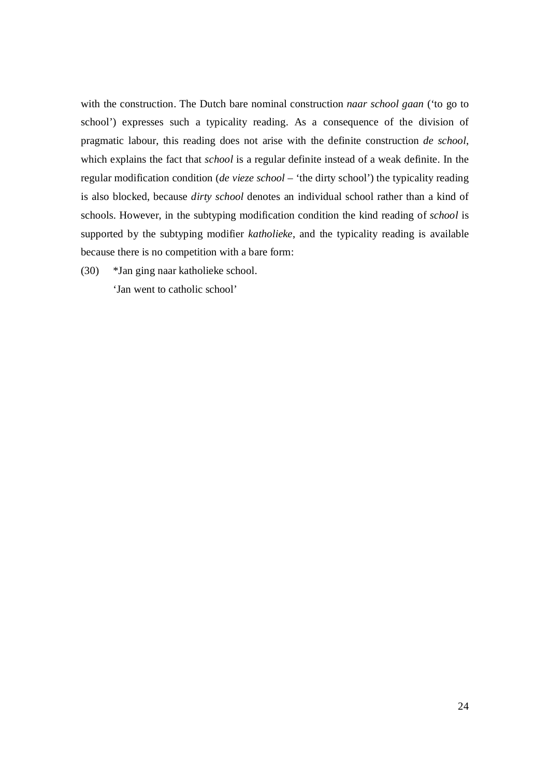with the construction. The Dutch bare nominal construction *naar school gaan* ('to go to school') expresses such a typicality reading. As a consequence of the division of pragmatic labour, this reading does not arise with the definite construction *de school*, which explains the fact that *school* is a regular definite instead of a weak definite. In the regular modification condition (*de vieze school* – 'the dirty school') the typicality reading is also blocked, because *dirty school* denotes an individual school rather than a kind of schools. However, in the subtyping modification condition the kind reading of *school* is supported by the subtyping modifier *katholieke*, and the typicality reading is available because there is no competition with a bare form:

(30) \*Jan ging naar katholieke school.

'Jan went to catholic school'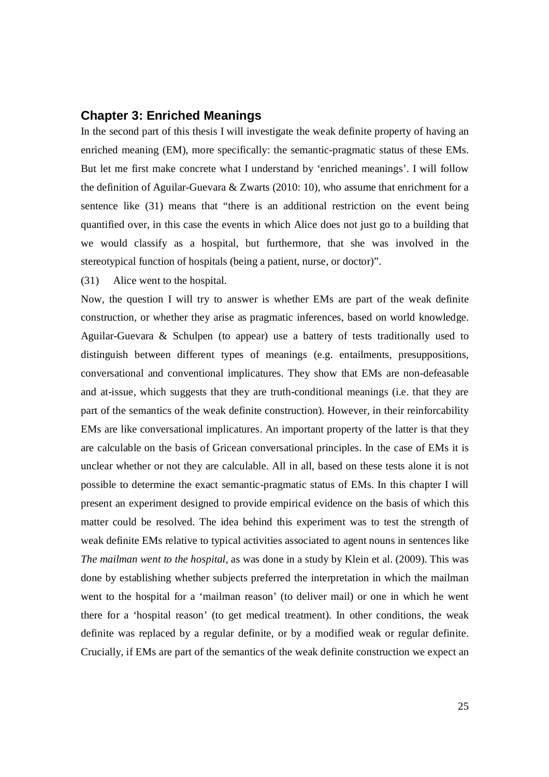# **Chapter 3: Enriched Meanings**

In the second part of this thesis I will investigate the weak definite property of having an enriched meaning (EM), more specifically: the semantic-pragmatic status of these EMs. But let me first make concrete what I understand by 'enriched meanings'. I will follow the definition of Aguilar-Guevara & Zwarts (2010: 10), who assume that enrichment for a sentence like (31) means that "there is an additional restriction on the event being quantified over, in this case the events in which Alice does not just go to a building that we would classify as a hospital, but furthermore, that she was involved in the stereotypical function of hospitals (being a patient, nurse, or doctor)".

(31) Alice went to the hospital.

Now, the question I will try to answer is whether EMs are part of the weak definite construction, or whether they arise as pragmatic inferences, based on world knowledge. Aguilar-Guevara & Schulpen (to appear) use a battery of tests traditionally used to distinguish between different types of meanings (e.g. entailments, presuppositions, conversational and conventional implicatures. They show that EMs are non-defeasable and at-issue, which suggests that they are truth-conditional meanings (i.e. that they are part of the semantics of the weak definite construction). However, in their reinforcability EMs are like conversational implicatures. An important property of the latter is that they are calculable on the basis of Gricean conversational principles. In the case of EMs it is unclear whether or not they are calculable. All in all, based on these tests alone it is not possible to determine the exact semantic-pragmatic status of EMs. In this chapter I will present an experiment designed to provide empirical evidence on the basis of which this matter could be resolved. The idea behind this experiment was to test the strength of weak definite EMs relative to typical activities associated to agent nouns in sentences like *The mailman went to the hospital*, as was done in a study by Klein et al. (2009). This was done by establishing whether subjects preferred the interpretation in which the mailman went to the hospital for a 'mailman reason' (to deliver mail) or one in which he went there for a 'hospital reason' (to get medical treatment). In other conditions, the weak definite was replaced by a regular definite, or by a modified weak or regular definite. Crucially, if EMs are part of the semantics of the weak definite construction we expect an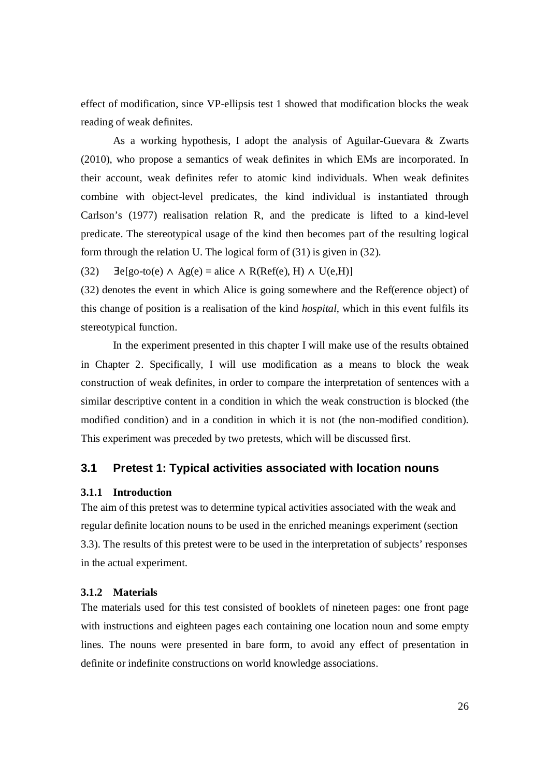effect of modification, since VP-ellipsis test 1 showed that modification blocks the weak reading of weak definites.

As a working hypothesis, I adopt the analysis of Aguilar-Guevara & Zwarts (2010), who propose a semantics of weak definites in which EMs are incorporated. In their account, weak definites refer to atomic kind individuals. When weak definites combine with object-level predicates, the kind individual is instantiated through Carlson's (1977) realisation relation R, and the predicate is lifted to a kind-level predicate. The stereotypical usage of the kind then becomes part of the resulting logical form through the relation U. The logical form of (31) is given in (32).

(32)  $\exists e [go-to(e) \land Ag(e) = alice \land R(Ref(e), H) \land U(e, H)]$ 

(32) denotes the event in which Alice is going somewhere and the Ref(erence object) of this change of position is a realisation of the kind *hospital*, which in this event fulfils its stereotypical function.

In the experiment presented in this chapter I will make use of the results obtained in Chapter 2. Specifically, I will use modification as a means to block the weak construction of weak definites, in order to compare the interpretation of sentences with a similar descriptive content in a condition in which the weak construction is blocked (the modified condition) and in a condition in which it is not (the non-modified condition). This experiment was preceded by two pretests, which will be discussed first.

# **3.1 Pretest 1: Typical activities associated with location nouns**

#### **3.1.1 Introduction**

The aim of this pretest was to determine typical activities associated with the weak and regular definite location nouns to be used in the enriched meanings experiment (section 3.3). The results of this pretest were to be used in the interpretation of subjects' responses in the actual experiment.

#### **3.1.2 Materials**

The materials used for this test consisted of booklets of nineteen pages: one front page with instructions and eighteen pages each containing one location noun and some empty lines. The nouns were presented in bare form, to avoid any effect of presentation in definite or indefinite constructions on world knowledge associations.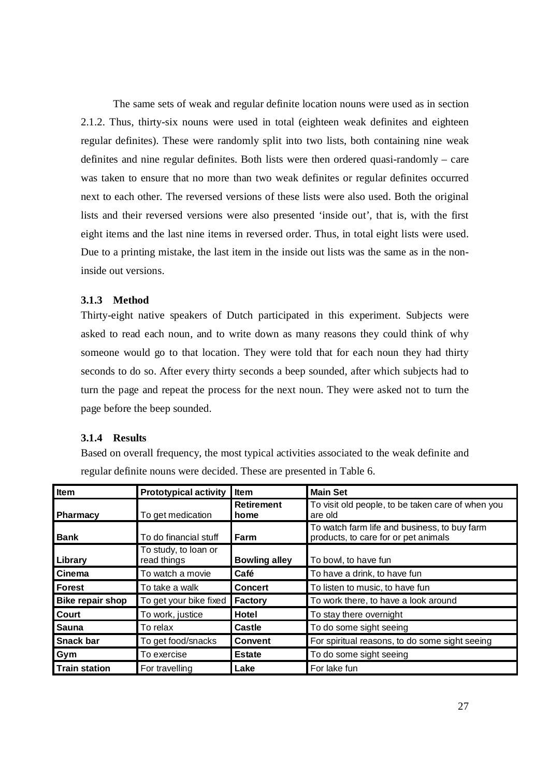The same sets of weak and regular definite location nouns were used as in section 2.1.2. Thus, thirty-six nouns were used in total (eighteen weak definites and eighteen regular definites). These were randomly split into two lists, both containing nine weak definites and nine regular definites. Both lists were then ordered quasi-randomly – care was taken to ensure that no more than two weak definites or regular definites occurred next to each other. The reversed versions of these lists were also used. Both the original lists and their reversed versions were also presented 'inside out', that is, with the first eight items and the last nine items in reversed order. Thus, in total eight lists were used. Due to a printing mistake, the last item in the inside out lists was the same as in the noninside out versions.

# **3.1.3 Method**

Thirty-eight native speakers of Dutch participated in this experiment. Subjects were asked to read each noun, and to write down as many reasons they could think of why someone would go to that location. They were told that for each noun they had thirty seconds to do so. After every thirty seconds a beep sounded, after which subjects had to turn the page and repeat the process for the next noun. They were asked not to turn the page before the beep sounded.

### **3.1.4 Results**

Based on overall frequency, the most typical activities associated to the weak definite and regular definite nouns were decided. These are presented in Table 6.

| Item                 | <b>Prototypical activity</b>        | Item                      | <b>Main Set</b>                                                                      |
|----------------------|-------------------------------------|---------------------------|--------------------------------------------------------------------------------------|
| <b>Pharmacy</b>      | To get medication                   | <b>Retirement</b><br>home | To visit old people, to be taken care of when you<br>are old                         |
| <b>Bank</b>          | To do financial stuff               | Farm                      | To watch farm life and business, to buy farm<br>products, to care for or pet animals |
| Library              | To study, to loan or<br>read things | <b>Bowling alley</b>      | To bowl, to have fun                                                                 |
| Cinema               | To watch a movie                    | Café                      | To have a drink, to have fun                                                         |
| <b>Forest</b>        | To take a walk                      | <b>Concert</b>            | To listen to music, to have fun                                                      |
| Bike repair shop     | To get your bike fixed              | <b>Factory</b>            | To work there, to have a look around                                                 |
| Court                | To work, justice                    | Hotel                     | To stay there overnight                                                              |
| Sauna                | To relax                            | <b>Castle</b>             | To do some sight seeing                                                              |
| <b>Snack bar</b>     | To get food/snacks                  | <b>Convent</b>            | For spiritual reasons, to do some sight seeing                                       |
| Gym                  | To exercise                         | <b>Estate</b>             | To do some sight seeing                                                              |
| <b>Train station</b> | For travelling                      | Lake                      | For lake fun                                                                         |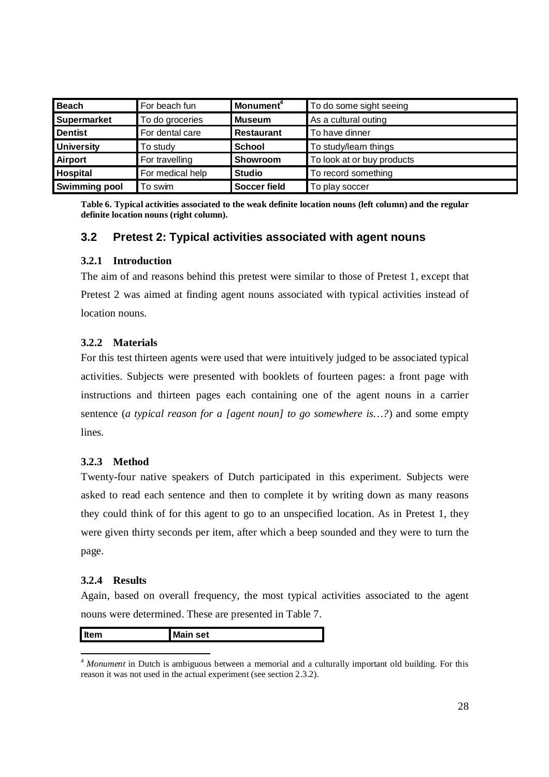| <b>Beach</b>       | For beach fun    | Monument <sup>4</sup>                  | To do some sight seeing |  |
|--------------------|------------------|----------------------------------------|-------------------------|--|
| <b>Supermarket</b> | To do groceries  | <b>Museum</b>                          | As a cultural outing    |  |
| <b>Dentist</b>     | For dental care  | <b>Restaurant</b>                      | To have dinner          |  |
| <b>University</b>  | To study         | <b>School</b>                          | To study/learn things   |  |
| <b>Airport</b>     | For travelling   | To look at or buy products<br>Showroom |                         |  |
| <b>Hospital</b>    | For medical help | <b>Studio</b>                          | To record something     |  |
| Swimming pool      | To swim          | <b>Soccer field</b>                    | To play soccer          |  |

**Table 6. Typical activities associated to the weak definite location nouns (left column) and the regular definite location nouns (right column).**

# **3.2 Pretest 2: Typical activities associated with agent nouns**

# **3.2.1 Introduction**

The aim of and reasons behind this pretest were similar to those of Pretest 1, except that Pretest 2 was aimed at finding agent nouns associated with typical activities instead of location nouns.

# **3.2.2 Materials**

For this test thirteen agents were used that were intuitively judged to be associated typical activities. Subjects were presented with booklets of fourteen pages: a front page with instructions and thirteen pages each containing one of the agent nouns in a carrier sentence (*a typical reason for a [agent noun] to go somewhere is…?*) and some empty lines.

# **3.2.3 Method**

Twenty-four native speakers of Dutch participated in this experiment. Subjects were asked to read each sentence and then to complete it by writing down as many reasons they could think of for this agent to go to an unspecified location. As in Pretest 1, they were given thirty seconds per item, after which a beep sounded and they were to turn the page.

# **3.2.4 Results**

Again, based on overall frequency, the most typical activities associated to the agent nouns were determined. These are presented in Table 7.

| Item | l Main<br>set |
|------|---------------|
|      |               |

<sup>-</sup><sup>4</sup> *Monument* in Dutch is ambiguous between a memorial and a culturally important old building. For this reason it was not used in the actual experiment (see section 2.3.2).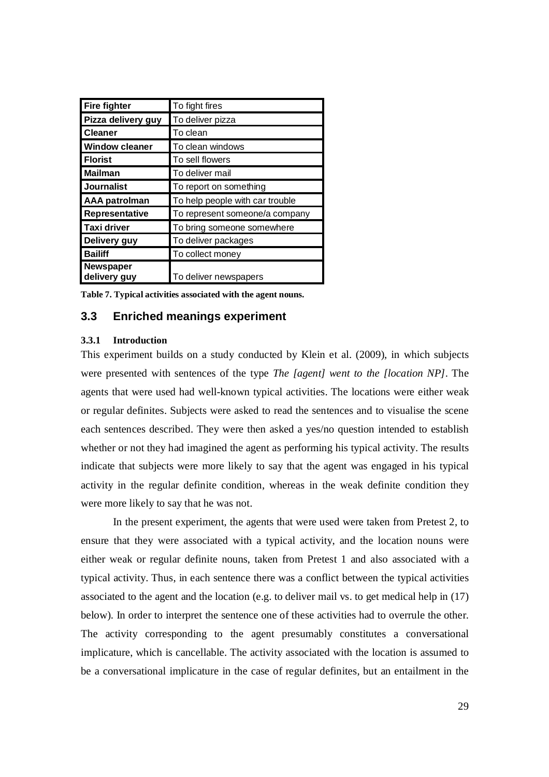| <b>Fire fighter</b>              | To fight fires                  |
|----------------------------------|---------------------------------|
| Pizza delivery guy               | To deliver pizza                |
| <b>Cleaner</b>                   | To clean                        |
| <b>Window cleaner</b>            | To clean windows                |
| <b>Florist</b>                   | To sell flowers                 |
| <b>Mailman</b>                   | To deliver mail                 |
| <b>Journalist</b>                | To report on something          |
| <b>AAA patrolman</b>             | To help people with car trouble |
| Representative                   | To represent someone/a company  |
| Taxi driver                      | To bring someone somewhere      |
| Delivery guy                     | To deliver packages             |
| <b>Bailiff</b>                   | To collect money                |
| <b>Newspaper</b><br>delivery guy | To deliver newspapers           |

**Table 7. Typical activities associated with the agent nouns.**

# **3.3 Enriched meanings experiment**

### **3.3.1 Introduction**

This experiment builds on a study conducted by Klein et al. (2009), in which subjects were presented with sentences of the type *The [agent] went to the [location NP]*. The agents that were used had well-known typical activities. The locations were either weak or regular definites. Subjects were asked to read the sentences and to visualise the scene each sentences described. They were then asked a yes/no question intended to establish whether or not they had imagined the agent as performing his typical activity. The results indicate that subjects were more likely to say that the agent was engaged in his typical activity in the regular definite condition, whereas in the weak definite condition they were more likely to say that he was not.

In the present experiment, the agents that were used were taken from Pretest 2, to ensure that they were associated with a typical activity, and the location nouns were either weak or regular definite nouns, taken from Pretest 1 and also associated with a typical activity. Thus, in each sentence there was a conflict between the typical activities associated to the agent and the location (e.g. to deliver mail vs. to get medical help in (17) below). In order to interpret the sentence one of these activities had to overrule the other. The activity corresponding to the agent presumably constitutes a conversational implicature, which is cancellable. The activity associated with the location is assumed to be a conversational implicature in the case of regular definites, but an entailment in the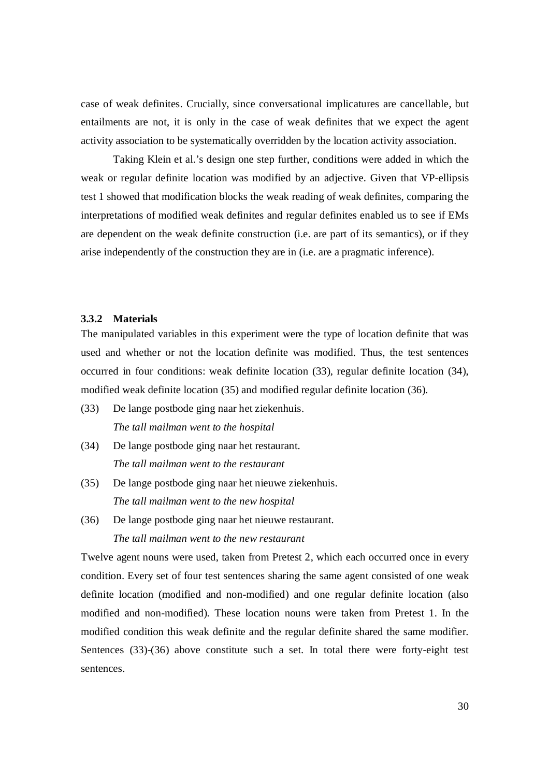case of weak definites. Crucially, since conversational implicatures are cancellable, but entailments are not, it is only in the case of weak definites that we expect the agent activity association to be systematically overridden by the location activity association.

Taking Klein et al.'s design one step further, conditions were added in which the weak or regular definite location was modified by an adjective. Given that VP-ellipsis test 1 showed that modification blocks the weak reading of weak definites, comparing the interpretations of modified weak definites and regular definites enabled us to see if EMs are dependent on the weak definite construction (i.e. are part of its semantics), or if they arise independently of the construction they are in (i.e. are a pragmatic inference).

# **3.3.2 Materials**

The manipulated variables in this experiment were the type of location definite that was used and whether or not the location definite was modified. Thus, the test sentences occurred in four conditions: weak definite location (33), regular definite location (34), modified weak definite location (35) and modified regular definite location (36).

- (33) De lange postbode ging naar het ziekenhuis. *The tall mailman went to the hospital*
- (34) De lange postbode ging naar het restaurant. *The tall mailman went to the restaurant*
- (35) De lange postbode ging naar het nieuwe ziekenhuis. *The tall mailman went to the new hospital*
- (36) De lange postbode ging naar het nieuwe restaurant.

*The tall mailman went to the new restaurant*

Twelve agent nouns were used, taken from Pretest 2, which each occurred once in every condition. Every set of four test sentences sharing the same agent consisted of one weak definite location (modified and non-modified) and one regular definite location (also modified and non-modified). These location nouns were taken from Pretest 1. In the modified condition this weak definite and the regular definite shared the same modifier. Sentences (33)-(36) above constitute such a set. In total there were forty-eight test sentences.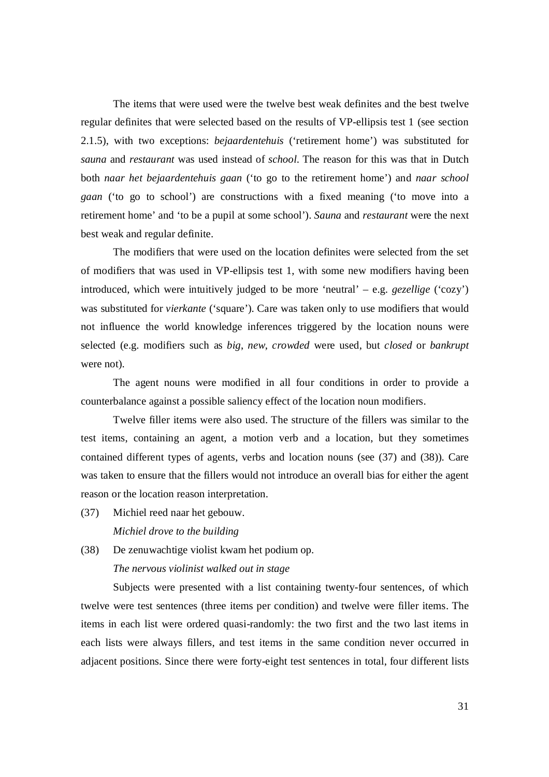The items that were used were the twelve best weak definites and the best twelve regular definites that were selected based on the results of VP-ellipsis test 1 (see section 2.1.5), with two exceptions: *bejaardentehuis* ('retirement home') was substituted for *sauna* and *restaurant* was used instead of *school*. The reason for this was that in Dutch both *naar het bejaardentehuis gaan* ('to go to the retirement home') and *naar school gaan* ('to go to school') are constructions with a fixed meaning ('to move into a retirement home' and 'to be a pupil at some school'). *Sauna* and *restaurant* were the next best weak and regular definite.

The modifiers that were used on the location definites were selected from the set of modifiers that was used in VP-ellipsis test 1, with some new modifiers having been introduced, which were intuitively judged to be more 'neutral' – e.g. *gezellige* ('cozy') was substituted for *vierkante* ('square'). Care was taken only to use modifiers that would not influence the world knowledge inferences triggered by the location nouns were selected (e.g. modifiers such as *big*, *new*, *crowded* were used, but *closed* or *bankrupt* were not).

The agent nouns were modified in all four conditions in order to provide a counterbalance against a possible saliency effect of the location noun modifiers.

Twelve filler items were also used. The structure of the fillers was similar to the test items, containing an agent, a motion verb and a location, but they sometimes contained different types of agents, verbs and location nouns (see (37) and (38)). Care was taken to ensure that the fillers would not introduce an overall bias for either the agent reason or the location reason interpretation.

(37) Michiel reed naar het gebouw.

*Michiel drove to the building*

(38) De zenuwachtige violist kwam het podium op.

*The nervous violinist walked out in stage*

Subjects were presented with a list containing twenty-four sentences, of which twelve were test sentences (three items per condition) and twelve were filler items. The items in each list were ordered quasi-randomly: the two first and the two last items in each lists were always fillers, and test items in the same condition never occurred in adjacent positions. Since there were forty-eight test sentences in total, four different lists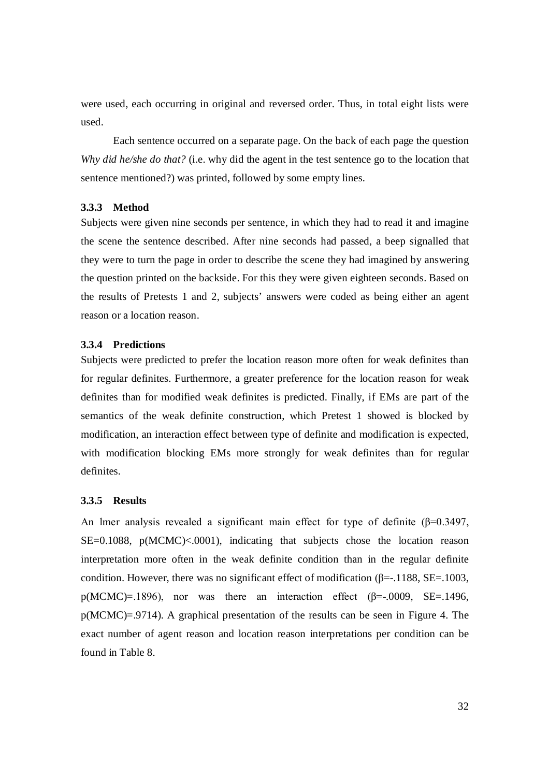were used, each occurring in original and reversed order. Thus, in total eight lists were used.

Each sentence occurred on a separate page. On the back of each page the question *Why did he/she do that?* (i.e. why did the agent in the test sentence go to the location that sentence mentioned?) was printed, followed by some empty lines.

#### **3.3.3 Method**

Subjects were given nine seconds per sentence, in which they had to read it and imagine the scene the sentence described. After nine seconds had passed, a beep signalled that they were to turn the page in order to describe the scene they had imagined by answering the question printed on the backside. For this they were given eighteen seconds. Based on the results of Pretests 1 and 2, subjects' answers were coded as being either an agent reason or a location reason.

#### **3.3.4 Predictions**

Subjects were predicted to prefer the location reason more often for weak definites than for regular definites. Furthermore, a greater preference for the location reason for weak definites than for modified weak definites is predicted. Finally, if EMs are part of the semantics of the weak definite construction, which Pretest 1 showed is blocked by modification, an interaction effect between type of definite and modification is expected, with modification blocking EMs more strongly for weak definites than for regular definites.

### **3.3.5 Results**

An lmer analysis revealed a significant main effect for type of definite  $(\beta=0.3497)$ ,  $SE=0.1088$ ,  $p(MCMC) \le 0.001$ , indicating that subjects chose the location reason interpretation more often in the weak definite condition than in the regular definite condition. However, there was no significant effect of modification ( $\beta$ =-.1188, SE=.1003,  $p(MCMC)=1896$ ), nor was there an interaction effect ( $\beta$ =-.0009, SE=.1496, p(MCMC)=.9714). A graphical presentation of the results can be seen in Figure 4. The exact number of agent reason and location reason interpretations per condition can be found in Table 8.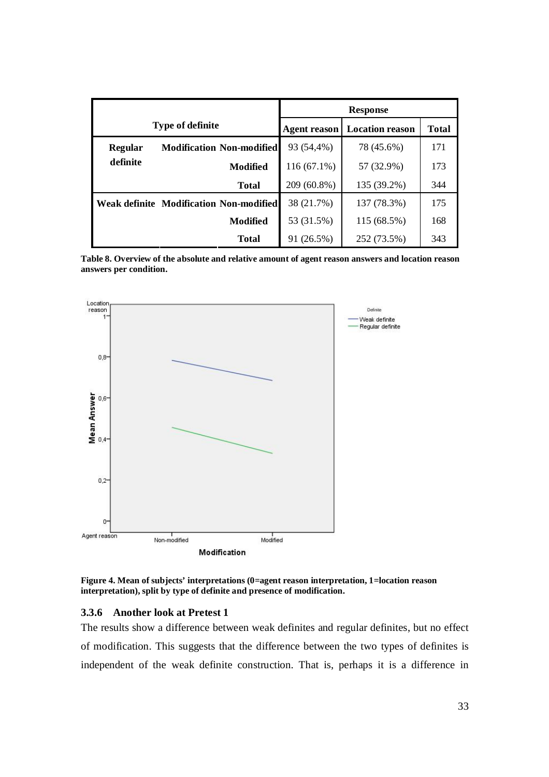|                         |                                                | <b>Response</b>     |                        |              |
|-------------------------|------------------------------------------------|---------------------|------------------------|--------------|
| <b>Type of definite</b> |                                                | <b>Agent reason</b> | <b>Location reason</b> | <b>Total</b> |
| <b>Regular</b>          | <b>Modification Non-modified</b>               | 93 (54,4%)          | 78 (45.6%)             | 171          |
| definite                | Modified                                       | $116(67.1\%)$       | 57 (32.9%)             | 173          |
|                         | <b>Total</b>                                   | 209 (60.8%)         | 135 (39.2%)            | 344          |
|                         | <b>Weak definite Modification Non-modified</b> | 38 (21.7%)          | 137 (78.3%)            | 175          |
|                         | <b>Modified</b>                                | 53 (31.5%)          | 115 (68.5%)            | 168          |
|                         | <b>Total</b>                                   | 91 (26.5%)          | 252 (73.5%)            | 343          |

**Table 8. Overview of the absolute and relative amount of agent reason answers and location reason answers per condition.**



**Figure 4. Mean of subjects' interpretations (0=agent reason interpretation, 1=location reason interpretation), split by type of definite and presence of modification.**

#### **3.3.6 Another look at Pretest 1**

The results show a difference between weak definites and regular definites, but no effect of modification. This suggests that the difference between the two types of definites is independent of the weak definite construction. That is, perhaps it is a difference in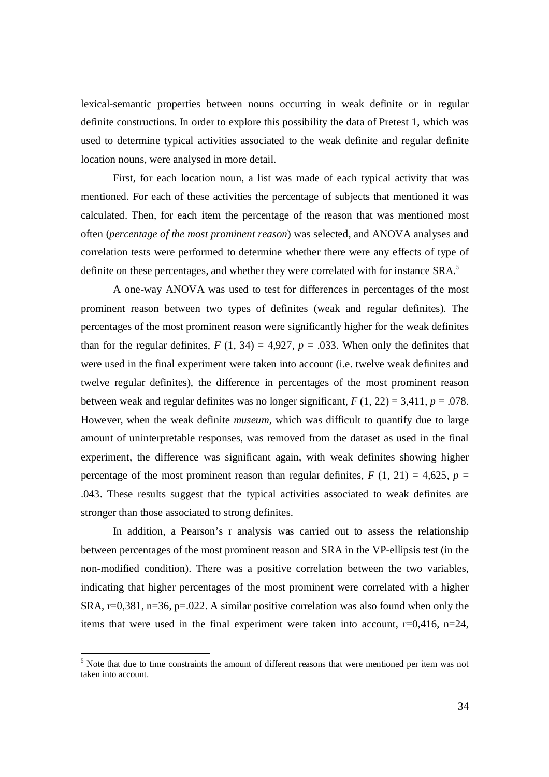lexical-semantic properties between nouns occurring in weak definite or in regular definite constructions. In order to explore this possibility the data of Pretest 1, which was used to determine typical activities associated to the weak definite and regular definite location nouns, were analysed in more detail.

First, for each location noun, a list was made of each typical activity that was mentioned. For each of these activities the percentage of subjects that mentioned it was calculated. Then, for each item the percentage of the reason that was mentioned most often (*percentage of the most prominent reason*) was selected, and ANOVA analyses and correlation tests were performed to determine whether there were any effects of type of definite on these percentages, and whether they were correlated with for instance SRA.<sup>5</sup>

A one-way ANOVA was used to test for differences in percentages of the most prominent reason between two types of definites (weak and regular definites). The percentages of the most prominent reason were significantly higher for the weak definites than for the regular definites,  $F(1, 34) = 4,927$ ,  $p = .033$ . When only the definites that were used in the final experiment were taken into account (i.e. twelve weak definites and twelve regular definites), the difference in percentages of the most prominent reason between weak and regular definites was no longer significant,  $F(1, 22) = 3,411$ ,  $p = .078$ . However, when the weak definite *museum*, which was difficult to quantify due to large amount of uninterpretable responses, was removed from the dataset as used in the final experiment, the difference was significant again, with weak definites showing higher percentage of the most prominent reason than regular definites,  $F(1, 21) = 4,625$ ,  $p =$ .043. These results suggest that the typical activities associated to weak definites are stronger than those associated to strong definites.

In addition, a Pearson's r analysis was carried out to assess the relationship between percentages of the most prominent reason and SRA in the VP-ellipsis test (in the non-modified condition). There was a positive correlation between the two variables, indicating that higher percentages of the most prominent were correlated with a higher SRA,  $r=0.381$ ,  $n=36$ ,  $p=.022$ . A similar positive correlation was also found when only the items that were used in the final experiment were taken into account,  $r=0,416$ ,  $n=24$ ,

-

 $<sup>5</sup>$  Note that due to time constraints the amount of different reasons that were mentioned per item was not</sup> taken into account.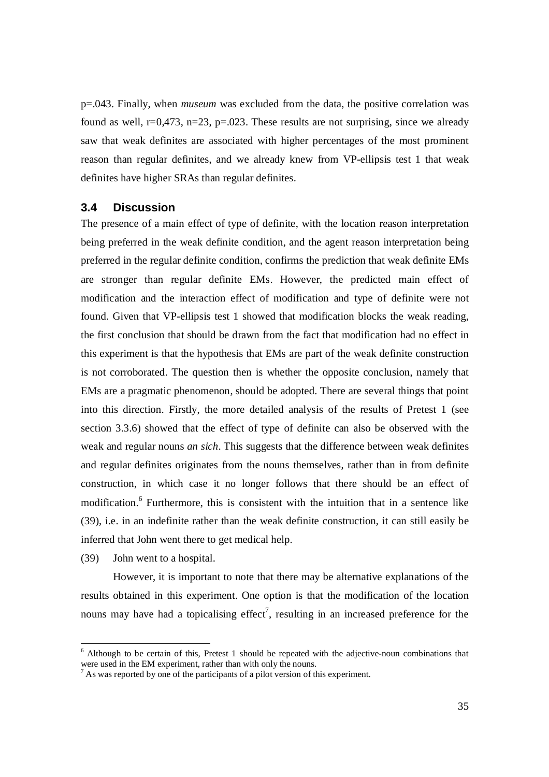p=.043. Finally, when *museum* was excluded from the data, the positive correlation was found as well,  $r=0.473$ ,  $n=23$ ,  $p=.023$ . These results are not surprising, since we already saw that weak definites are associated with higher percentages of the most prominent reason than regular definites, and we already knew from VP-ellipsis test 1 that weak definites have higher SRAs than regular definites.

# **3.4 Discussion**

The presence of a main effect of type of definite, with the location reason interpretation being preferred in the weak definite condition, and the agent reason interpretation being preferred in the regular definite condition, confirms the prediction that weak definite EMs are stronger than regular definite EMs. However, the predicted main effect of modification and the interaction effect of modification and type of definite were not found. Given that VP-ellipsis test 1 showed that modification blocks the weak reading, the first conclusion that should be drawn from the fact that modification had no effect in this experiment is that the hypothesis that EMs are part of the weak definite construction is not corroborated. The question then is whether the opposite conclusion, namely that EMs are a pragmatic phenomenon, should be adopted. There are several things that point into this direction. Firstly, the more detailed analysis of the results of Pretest 1 (see section 3.3.6) showed that the effect of type of definite can also be observed with the weak and regular nouns *an sich*. This suggests that the difference between weak definites and regular definites originates from the nouns themselves, rather than in from definite construction, in which case it no longer follows that there should be an effect of modification.<sup>6</sup> Furthermore, this is consistent with the intuition that in a sentence like (39), i.e. in an indefinite rather than the weak definite construction, it can still easily be inferred that John went there to get medical help.

(39) John went to a hospital.

However, it is important to note that there may be alternative explanations of the results obtained in this experiment. One option is that the modification of the location nouns may have had a topicalising effect<sup>7</sup>, resulting in an increased preference for the

<sup>&</sup>lt;sup>6</sup> Although to be certain of this, Pretest 1 should be repeated with the adjective-noun combinations that were used in the EM experiment, rather than with only the nouns.

 $<sup>7</sup>$  As was reported by one of the participants of a pilot version of this experiment.</sup>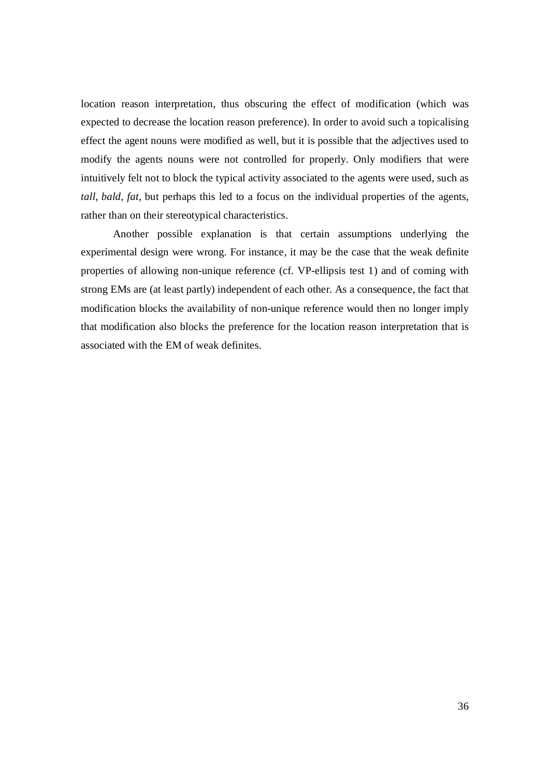location reason interpretation, thus obscuring the effect of modification (which was expected to decrease the location reason preference). In order to avoid such a topicalising effect the agent nouns were modified as well, but it is possible that the adjectives used to modify the agents nouns were not controlled for properly. Only modifiers that were intuitively felt not to block the typical activity associated to the agents were used, such as *tall*, *bald*, *fat*, but perhaps this led to a focus on the individual properties of the agents, rather than on their stereotypical characteristics.

Another possible explanation is that certain assumptions underlying the experimental design were wrong. For instance, it may be the case that the weak definite properties of allowing non-unique reference (cf. VP-ellipsis test 1) and of coming with strong EMs are (at least partly) independent of each other. As a consequence, the fact that modification blocks the availability of non-unique reference would then no longer imply that modification also blocks the preference for the location reason interpretation that is associated with the EM of weak definites.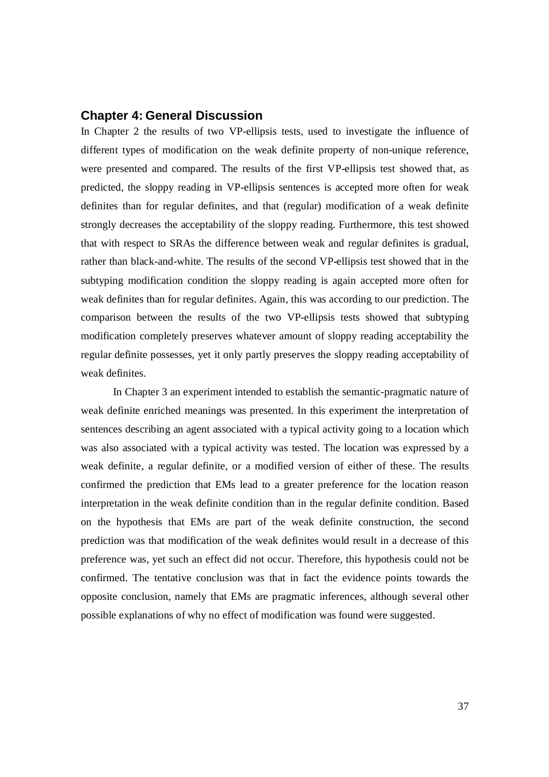# **Chapter 4: General Discussion**

In Chapter 2 the results of two VP-ellipsis tests, used to investigate the influence of different types of modification on the weak definite property of non-unique reference, were presented and compared. The results of the first VP-ellipsis test showed that, as predicted, the sloppy reading in VP-ellipsis sentences is accepted more often for weak definites than for regular definites, and that (regular) modification of a weak definite strongly decreases the acceptability of the sloppy reading. Furthermore, this test showed that with respect to SRAs the difference between weak and regular definites is gradual, rather than black-and-white. The results of the second VP-ellipsis test showed that in the subtyping modification condition the sloppy reading is again accepted more often for weak definites than for regular definites. Again, this was according to our prediction. The comparison between the results of the two VP-ellipsis tests showed that subtyping modification completely preserves whatever amount of sloppy reading acceptability the regular definite possesses, yet it only partly preserves the sloppy reading acceptability of weak definites.

In Chapter 3 an experiment intended to establish the semantic-pragmatic nature of weak definite enriched meanings was presented. In this experiment the interpretation of sentences describing an agent associated with a typical activity going to a location which was also associated with a typical activity was tested. The location was expressed by a weak definite, a regular definite, or a modified version of either of these. The results confirmed the prediction that EMs lead to a greater preference for the location reason interpretation in the weak definite condition than in the regular definite condition. Based on the hypothesis that EMs are part of the weak definite construction, the second prediction was that modification of the weak definites would result in a decrease of this preference was, yet such an effect did not occur. Therefore, this hypothesis could not be confirmed. The tentative conclusion was that in fact the evidence points towards the opposite conclusion, namely that EMs are pragmatic inferences, although several other possible explanations of why no effect of modification was found were suggested.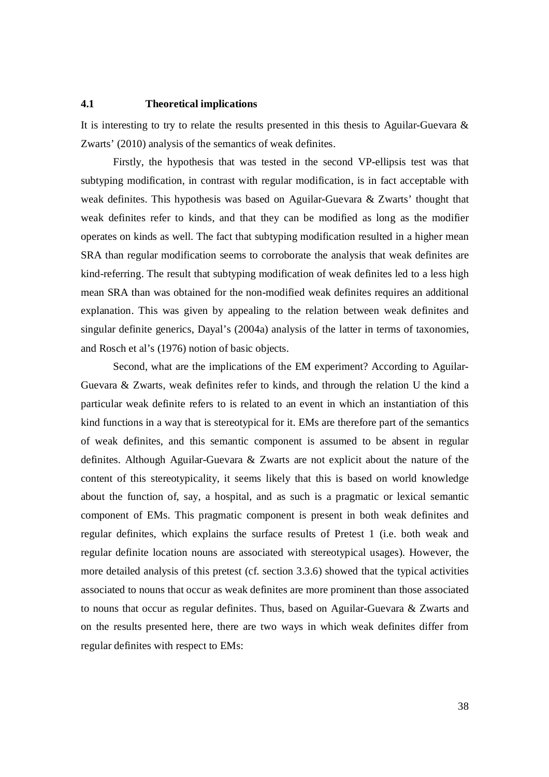#### **4.1 Theoretical implications**

It is interesting to try to relate the results presented in this thesis to Aguilar-Guevara  $\&$ Zwarts' (2010) analysis of the semantics of weak definites.

Firstly, the hypothesis that was tested in the second VP-ellipsis test was that subtyping modification, in contrast with regular modification, is in fact acceptable with weak definites. This hypothesis was based on Aguilar-Guevara & Zwarts' thought that weak definites refer to kinds, and that they can be modified as long as the modifier operates on kinds as well. The fact that subtyping modification resulted in a higher mean SRA than regular modification seems to corroborate the analysis that weak definites are kind-referring. The result that subtyping modification of weak definites led to a less high mean SRA than was obtained for the non-modified weak definites requires an additional explanation. This was given by appealing to the relation between weak definites and singular definite generics, Dayal's (2004a) analysis of the latter in terms of taxonomies, and Rosch et al's (1976) notion of basic objects.

Second, what are the implications of the EM experiment? According to Aguilar-Guevara & Zwarts, weak definites refer to kinds, and through the relation U the kind a particular weak definite refers to is related to an event in which an instantiation of this kind functions in a way that is stereotypical for it. EMs are therefore part of the semantics of weak definites, and this semantic component is assumed to be absent in regular definites. Although Aguilar-Guevara & Zwarts are not explicit about the nature of the content of this stereotypicality, it seems likely that this is based on world knowledge about the function of, say, a hospital, and as such is a pragmatic or lexical semantic component of EMs. This pragmatic component is present in both weak definites and regular definites, which explains the surface results of Pretest 1 (i.e. both weak and regular definite location nouns are associated with stereotypical usages). However, the more detailed analysis of this pretest (cf. section 3.3.6) showed that the typical activities associated to nouns that occur as weak definites are more prominent than those associated to nouns that occur as regular definites. Thus, based on Aguilar-Guevara & Zwarts and on the results presented here, there are two ways in which weak definites differ from regular definites with respect to EMs: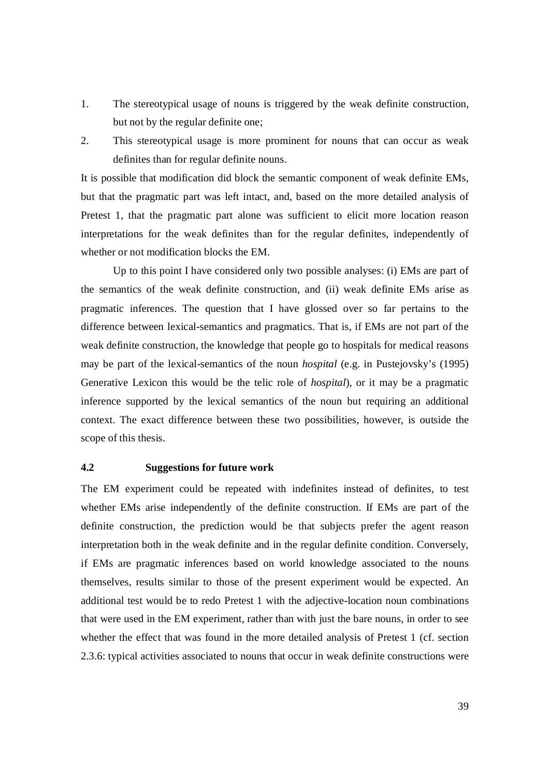- 1. The stereotypical usage of nouns is triggered by the weak definite construction, but not by the regular definite one;
- 2. This stereotypical usage is more prominent for nouns that can occur as weak definites than for regular definite nouns.

It is possible that modification did block the semantic component of weak definite EMs, but that the pragmatic part was left intact, and, based on the more detailed analysis of Pretest 1, that the pragmatic part alone was sufficient to elicit more location reason interpretations for the weak definites than for the regular definites, independently of whether or not modification blocks the EM.

Up to this point I have considered only two possible analyses: (i) EMs are part of the semantics of the weak definite construction, and (ii) weak definite EMs arise as pragmatic inferences. The question that I have glossed over so far pertains to the difference between lexical-semantics and pragmatics. That is, if EMs are not part of the weak definite construction, the knowledge that people go to hospitals for medical reasons may be part of the lexical-semantics of the noun *hospital* (e.g. in Pustejovsky's (1995) Generative Lexicon this would be the telic role of *hospital*), or it may be a pragmatic inference supported by the lexical semantics of the noun but requiring an additional context. The exact difference between these two possibilities, however, is outside the scope of this thesis.

#### **4.2 Suggestions for future work**

The EM experiment could be repeated with indefinites instead of definites, to test whether EMs arise independently of the definite construction. If EMs are part of the definite construction, the prediction would be that subjects prefer the agent reason interpretation both in the weak definite and in the regular definite condition. Conversely, if EMs are pragmatic inferences based on world knowledge associated to the nouns themselves, results similar to those of the present experiment would be expected. An additional test would be to redo Pretest 1 with the adjective-location noun combinations that were used in the EM experiment, rather than with just the bare nouns, in order to see whether the effect that was found in the more detailed analysis of Pretest 1 (cf. section 2.3.6: typical activities associated to nouns that occur in weak definite constructions were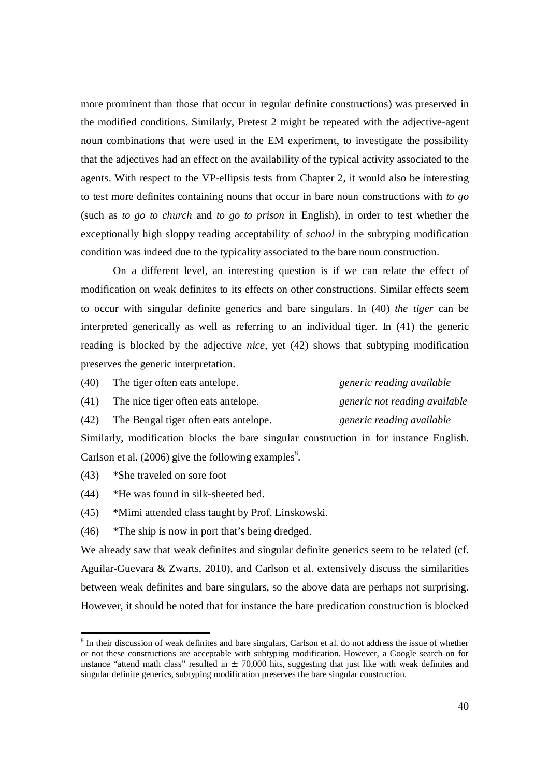more prominent than those that occur in regular definite constructions) was preserved in the modified conditions. Similarly, Pretest 2 might be repeated with the adjective-agent noun combinations that were used in the EM experiment, to investigate the possibility that the adjectives had an effect on the availability of the typical activity associated to the agents. With respect to the VP-ellipsis tests from Chapter 2, it would also be interesting to test more definites containing nouns that occur in bare noun constructions with *to go* (such as *to go to church* and *to go to prison* in English), in order to test whether the exceptionally high sloppy reading acceptability of *school* in the subtyping modification condition was indeed due to the typicality associated to the bare noun construction.

On a different level, an interesting question is if we can relate the effect of modification on weak definites to its effects on other constructions. Similar effects seem to occur with singular definite generics and bare singulars. In (40) *the tiger* can be interpreted generically as well as referring to an individual tiger. In (41) the generic reading is blocked by the adjective *nice*, yet (42) shows that subtyping modification preserves the generic interpretation.

| (40) | The tiger often eats antelope.        | generic reading available     |
|------|---------------------------------------|-------------------------------|
| (41) | The nice tiger often eats antelope.   | generic not reading available |
| (42) | The Bengal tiger often eats antelope. | generic reading available     |

Similarly, modification blocks the bare singular construction in for instance English. Carlson et al. (2006) give the following examples<sup>8</sup>.

(43) \*She traveled on sore foot

-

- (44) \*He was found in silk-sheeted bed.
- (45) \*Mimi attended class taught by Prof. Linskowski.

(46) \*The ship is now in port that's being dredged.

We already saw that weak definites and singular definite generics seem to be related (cf. Aguilar-Guevara & Zwarts, 2010), and Carlson et al. extensively discuss the similarities between weak definites and bare singulars, so the above data are perhaps not surprising. However, it should be noted that for instance the bare predication construction is blocked

<sup>&</sup>lt;sup>8</sup> In their discussion of weak definites and bare singulars, Carlson et al. do not address the issue of whether or not these constructions are acceptable with subtyping modification. However, a Google search on for instance "attend math class" resulted in  $\pm$  70,000 hits, suggesting that just like with weak definites and singular definite generics, subtyping modification preserves the bare singular construction.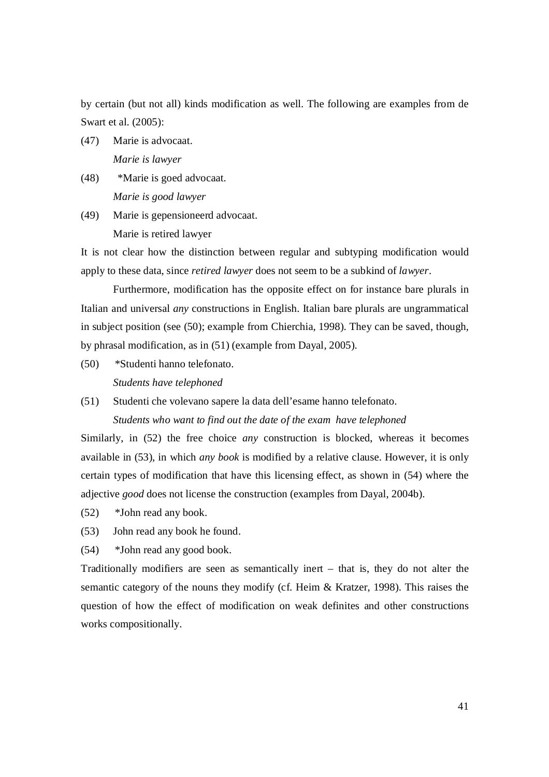by certain (but not all) kinds modification as well. The following are examples from de Swart et al. (2005):

(47) Marie is advocaat.

*Marie is lawyer*

- (48) \*Marie is goed advocaat. *Marie is good lawyer*
- (49) Marie is gepensioneerd advocaat. Marie is retired lawyer

It is not clear how the distinction between regular and subtyping modification would apply to these data, since *retired lawyer* does not seem to be a subkind of *lawyer*.

Furthermore, modification has the opposite effect on for instance bare plurals in Italian and universal *any* constructions in English. Italian bare plurals are ungrammatical in subject position (see (50); example from Chierchia, 1998). They can be saved, though, by phrasal modification, as in (51) (example from Dayal, 2005).

- (50) \*Studenti hanno telefonato. *Students have telephoned*
- (51) Studenti che volevano sapere la data dell'esame hanno telefonato.

*Students who want to find out the date of the exam have telephoned*

Similarly, in (52) the free choice *any* construction is blocked, whereas it becomes available in (53), in which *any book* is modified by a relative clause. However, it is only certain types of modification that have this licensing effect, as shown in (54) where the adjective *good* does not license the construction (examples from Dayal, 2004b).

- (52) \*John read any book.
- (53) John read any book he found.
- (54) \*John read any good book.

Traditionally modifiers are seen as semantically inert – that is, they do not alter the semantic category of the nouns they modify (cf. Heim & Kratzer, 1998). This raises the question of how the effect of modification on weak definites and other constructions works compositionally.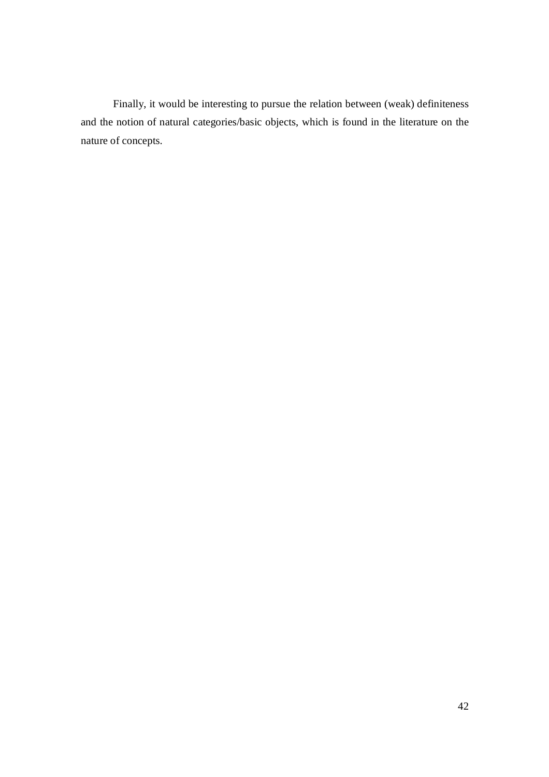Finally, it would be interesting to pursue the relation between (weak) definiteness and the notion of natural categories/basic objects, which is found in the literature on the nature of concepts.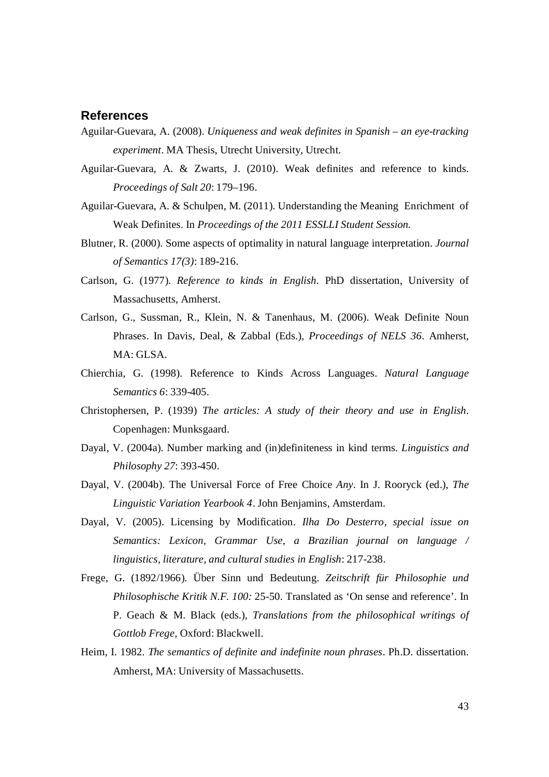# **References**

- Aguilar-Guevara, A. (2008). *Uniqueness and weak definites in Spanish – an eye-tracking experiment*. MA Thesis, Utrecht University, Utrecht.
- Aguilar-Guevara, A. & Zwarts, J. (2010). Weak definites and reference to kinds. *Proceedings of Salt 20*: 179–196.
- Aguilar-Guevara, A. & Schulpen, M. (2011). Understanding the Meaning Enrichment of Weak Definites. In *Proceedings of the 2011 ESSLLI Student Session.*
- Blutner, R. (2000). Some aspects of optimality in natural language interpretation. *Journal of Semantics 17(3)*: 189-216.
- Carlson, G. (1977). *Reference to kinds in English*. PhD dissertation, University of Massachusetts, Amherst.
- Carlson, G., Sussman, R., Klein, N. & Tanenhaus, M. (2006). Weak Definite Noun Phrases. In Davis, Deal, & Zabbal (Eds.), *Proceedings of NELS 36*. Amherst, MA: GLSA.
- Chierchia, G. (1998). Reference to Kinds Across Languages. *Natural Language Semantics 6*: 339-405.
- Christophersen, P. (1939) *The articles: A study of their theory and use in English*. Copenhagen: Munksgaard.
- Dayal, V. (2004a). Number marking and (in)definiteness in kind terms. *Linguistics and Philosophy 27*: 393-450.
- Dayal, V. (2004b). The Universal Force of Free Choice *Any*. In J. Rooryck (ed.), *The Linguistic Variation Yearbook 4*. John Benjamins, Amsterdam.
- Dayal, V. (2005). Licensing by Modification. *Ilha Do Desterro, special issue on Semantics: Lexicon, Grammar Use, a Brazilian journal on language / linguistics, literature, and cultural studies in English*: 217-238.
- Frege, G. (1892/1966). Über Sinn und Bedeutung. *Zeitschrift für Philosophie und Philosophische Kritik N.F. 100:* 25-50. Translated as 'On sense and reference'. In P. Geach & M. Black (eds.), *Translations from the philosophical writings of Gottlob Frege*, Oxford: Blackwell.
- Heim, I. 1982. *The semantics of definite and indefinite noun phrases*. Ph.D. dissertation. Amherst, MA: University of Massachusetts.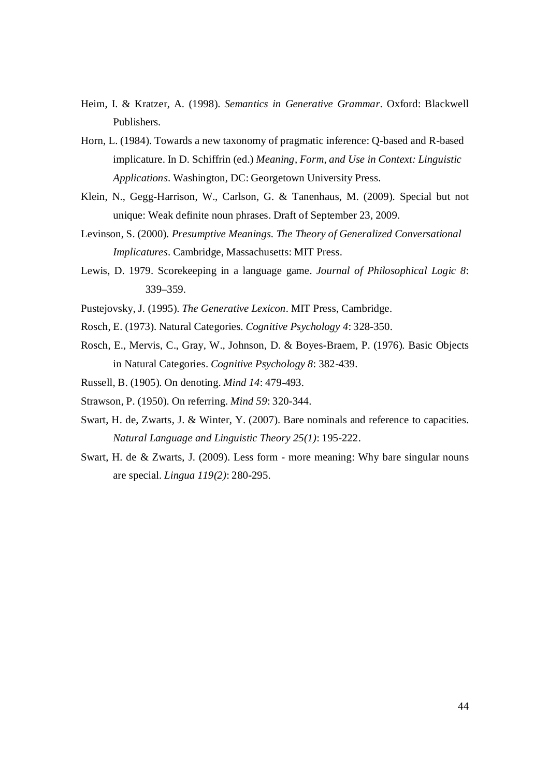- Heim, I. & Kratzer, A. (1998). *Semantics in Generative Grammar*. Oxford: Blackwell Publishers.
- Horn, L. (1984). Towards a new taxonomy of pragmatic inference: Q-based and R-based implicature. In D. Schiffrin (ed.) *Meaning, Form, and Use in Context: Linguistic Applications*. Washington, DC: Georgetown University Press.
- Klein, N., Gegg-Harrison, W., Carlson, G. & Tanenhaus, M. (2009). Special but not unique: Weak definite noun phrases. Draft of September 23, 2009.
- Levinson, S. (2000). *Presumptive Meanings. The Theory of Generalized Conversational Implicatures*. Cambridge, Massachusetts: MIT Press.
- Lewis, D. 1979. Scorekeeping in a language game. *Journal of Philosophical Logic 8*: 339–359.
- Pustejovsky, J. (1995). *The Generative Lexicon*. MIT Press, Cambridge.
- Rosch, E. (1973). Natural Categories. *Cognitive Psychology 4*: 328-350.
- Rosch, E., Mervis, C., Gray, W., Johnson, D. & Boyes-Braem, P. (1976). Basic Objects in Natural Categories. *Cognitive Psychology 8*: 382-439.
- Russell, B. (1905). On denoting. *Mind 14*: 479-493.
- Strawson, P. (1950). On referring. *Mind 59*: 320-344.
- Swart, H. de, Zwarts, J. & Winter, Y. (2007). Bare nominals and reference to capacities. *Natural Language and Linguistic Theory 25(1)*: 195-222.
- Swart, H. de & Zwarts, J. (2009). Less form more meaning: Why bare singular nouns are special. *Lingua 119(2)*: 280-295.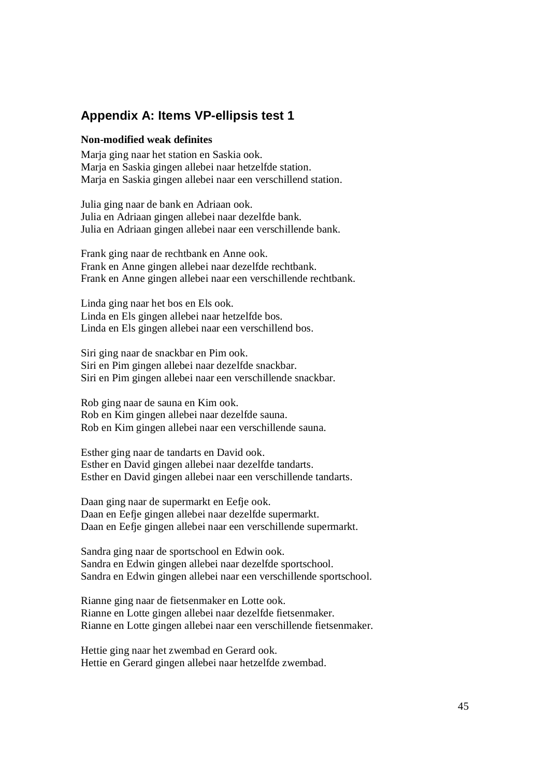# **Appendix A: Items VP-ellipsis test 1**

#### **Non-modified weak definites**

Marja ging naar het station en Saskia ook. Marja en Saskia gingen allebei naar hetzelfde station. Marja en Saskia gingen allebei naar een verschillend station.

Julia ging naar de bank en Adriaan ook. Julia en Adriaan gingen allebei naar dezelfde bank. Julia en Adriaan gingen allebei naar een verschillende bank.

Frank ging naar de rechtbank en Anne ook. Frank en Anne gingen allebei naar dezelfde rechtbank. Frank en Anne gingen allebei naar een verschillende rechtbank.

Linda ging naar het bos en Els ook. Linda en Els gingen allebei naar hetzelfde bos. Linda en Els gingen allebei naar een verschillend bos.

Siri ging naar de snackbar en Pim ook. Siri en Pim gingen allebei naar dezelfde snackbar. Siri en Pim gingen allebei naar een verschillende snackbar.

Rob ging naar de sauna en Kim ook. Rob en Kim gingen allebei naar dezelfde sauna. Rob en Kim gingen allebei naar een verschillende sauna.

Esther ging naar de tandarts en David ook. Esther en David gingen allebei naar dezelfde tandarts. Esther en David gingen allebei naar een verschillende tandarts.

Daan ging naar de supermarkt en Eefje ook. Daan en Eefje gingen allebei naar dezelfde supermarkt. Daan en Eefje gingen allebei naar een verschillende supermarkt.

Sandra ging naar de sportschool en Edwin ook. Sandra en Edwin gingen allebei naar dezelfde sportschool. Sandra en Edwin gingen allebei naar een verschillende sportschool.

Rianne ging naar de fietsenmaker en Lotte ook. Rianne en Lotte gingen allebei naar dezelfde fietsenmaker. Rianne en Lotte gingen allebei naar een verschillende fietsenmaker.

Hettie ging naar het zwembad en Gerard ook. Hettie en Gerard gingen allebei naar hetzelfde zwembad.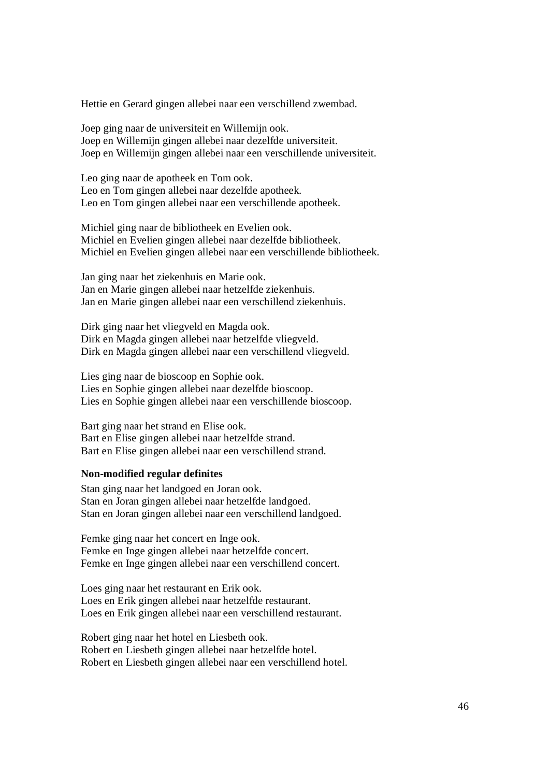Hettie en Gerard gingen allebei naar een verschillend zwembad.

Joep ging naar de universiteit en Willemijn ook. Joep en Willemijn gingen allebei naar dezelfde universiteit. Joep en Willemijn gingen allebei naar een verschillende universiteit.

Leo ging naar de apotheek en Tom ook. Leo en Tom gingen allebei naar dezelfde apotheek. Leo en Tom gingen allebei naar een verschillende apotheek.

Michiel ging naar de bibliotheek en Evelien ook. Michiel en Evelien gingen allebei naar dezelfde bibliotheek. Michiel en Evelien gingen allebei naar een verschillende bibliotheek.

Jan ging naar het ziekenhuis en Marie ook. Jan en Marie gingen allebei naar hetzelfde ziekenhuis. Jan en Marie gingen allebei naar een verschillend ziekenhuis.

Dirk ging naar het vliegveld en Magda ook. Dirk en Magda gingen allebei naar hetzelfde vliegveld. Dirk en Magda gingen allebei naar een verschillend vliegveld.

Lies ging naar de bioscoop en Sophie ook. Lies en Sophie gingen allebei naar dezelfde bioscoop. Lies en Sophie gingen allebei naar een verschillende bioscoop.

Bart ging naar het strand en Elise ook. Bart en Elise gingen allebei naar hetzelfde strand. Bart en Elise gingen allebei naar een verschillend strand.

#### **Non-modified regular definites**

Stan ging naar het landgoed en Joran ook. Stan en Joran gingen allebei naar hetzelfde landgoed. Stan en Joran gingen allebei naar een verschillend landgoed.

Femke ging naar het concert en Inge ook. Femke en Inge gingen allebei naar hetzelfde concert. Femke en Inge gingen allebei naar een verschillend concert.

Loes ging naar het restaurant en Erik ook. Loes en Erik gingen allebei naar hetzelfde restaurant. Loes en Erik gingen allebei naar een verschillend restaurant.

Robert ging naar het hotel en Liesbeth ook. Robert en Liesbeth gingen allebei naar hetzelfde hotel. Robert en Liesbeth gingen allebei naar een verschillend hotel.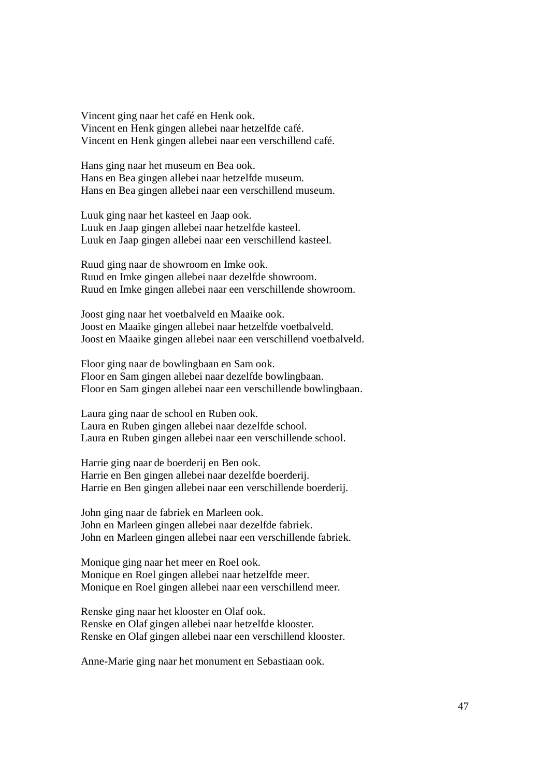Vincent ging naar het café en Henk ook. Vincent en Henk gingen allebei naar hetzelfde café. Vincent en Henk gingen allebei naar een verschillend café.

Hans ging naar het museum en Bea ook. Hans en Bea gingen allebei naar hetzelfde museum. Hans en Bea gingen allebei naar een verschillend museum.

Luuk ging naar het kasteel en Jaap ook. Luuk en Jaap gingen allebei naar hetzelfde kasteel. Luuk en Jaap gingen allebei naar een verschillend kasteel.

Ruud ging naar de showroom en Imke ook. Ruud en Imke gingen allebei naar dezelfde showroom. Ruud en Imke gingen allebei naar een verschillende showroom.

Joost ging naar het voetbalveld en Maaike ook. Joost en Maaike gingen allebei naar hetzelfde voetbalveld. Joost en Maaike gingen allebei naar een verschillend voetbalveld.

Floor ging naar de bowlingbaan en Sam ook. Floor en Sam gingen allebei naar dezelfde bowlingbaan. Floor en Sam gingen allebei naar een verschillende bowlingbaan.

Laura ging naar de school en Ruben ook. Laura en Ruben gingen allebei naar dezelfde school. Laura en Ruben gingen allebei naar een verschillende school.

Harrie ging naar de boerderij en Ben ook. Harrie en Ben gingen allebei naar dezelfde boerderij. Harrie en Ben gingen allebei naar een verschillende boerderij.

John ging naar de fabriek en Marleen ook. John en Marleen gingen allebei naar dezelfde fabriek. John en Marleen gingen allebei naar een verschillende fabriek.

Monique ging naar het meer en Roel ook. Monique en Roel gingen allebei naar hetzelfde meer. Monique en Roel gingen allebei naar een verschillend meer.

Renske ging naar het klooster en Olaf ook. Renske en Olaf gingen allebei naar hetzelfde klooster. Renske en Olaf gingen allebei naar een verschillend klooster.

Anne-Marie ging naar het monument en Sebastiaan ook.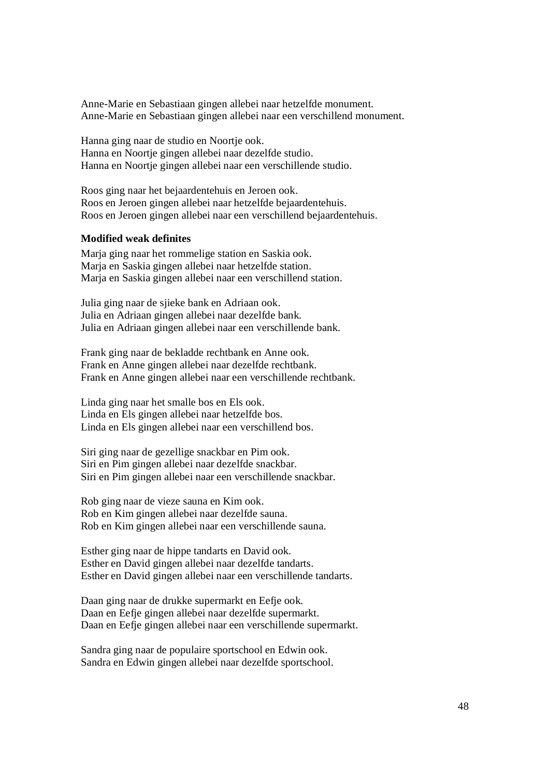Anne-Marie en Sebastiaan gingen allebei naar hetzelfde monument. Anne-Marie en Sebastiaan gingen allebei naar een verschillend monument.

Hanna ging naar de studio en Noortje ook. Hanna en Noortje gingen allebei naar dezelfde studio. Hanna en Noortje gingen allebei naar een verschillende studio.

Roos ging naar het bejaardentehuis en Jeroen ook. Roos en Jeroen gingen allebei naar hetzelfde bejaardentehuis. Roos en Jeroen gingen allebei naar een verschillend bejaardentehuis.

### **Modified weak definites**

Marja ging naar het rommelige station en Saskia ook. Marja en Saskia gingen allebei naar hetzelfde station. Marja en Saskia gingen allebei naar een verschillend station.

Julia ging naar de sjieke bank en Adriaan ook. Julia en Adriaan gingen allebei naar dezelfde bank. Julia en Adriaan gingen allebei naar een verschillende bank.

Frank ging naar de bekladde rechtbank en Anne ook. Frank en Anne gingen allebei naar dezelfde rechtbank. Frank en Anne gingen allebei naar een verschillende rechtbank.

Linda ging naar het smalle bos en Els ook. Linda en Els gingen allebei naar hetzelfde bos. Linda en Els gingen allebei naar een verschillend bos.

Siri ging naar de gezellige snackbar en Pim ook. Siri en Pim gingen allebei naar dezelfde snackbar. Siri en Pim gingen allebei naar een verschillende snackbar.

Rob ging naar de vieze sauna en Kim ook. Rob en Kim gingen allebei naar dezelfde sauna. Rob en Kim gingen allebei naar een verschillende sauna.

Esther ging naar de hippe tandarts en David ook. Esther en David gingen allebei naar dezelfde tandarts. Esther en David gingen allebei naar een verschillende tandarts.

Daan ging naar de drukke supermarkt en Eefje ook. Daan en Eefje gingen allebei naar dezelfde supermarkt. Daan en Eefje gingen allebei naar een verschillende supermarkt.

Sandra ging naar de populaire sportschool en Edwin ook. Sandra en Edwin gingen allebei naar dezelfde sportschool.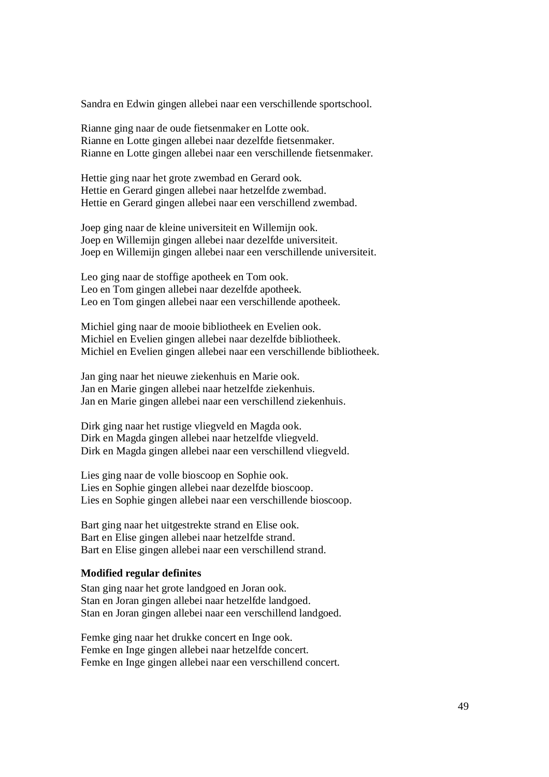Sandra en Edwin gingen allebei naar een verschillende sportschool.

Rianne ging naar de oude fietsenmaker en Lotte ook. Rianne en Lotte gingen allebei naar dezelfde fietsenmaker. Rianne en Lotte gingen allebei naar een verschillende fietsenmaker.

Hettie ging naar het grote zwembad en Gerard ook. Hettie en Gerard gingen allebei naar hetzelfde zwembad. Hettie en Gerard gingen allebei naar een verschillend zwembad.

Joep ging naar de kleine universiteit en Willemijn ook. Joep en Willemijn gingen allebei naar dezelfde universiteit. Joep en Willemijn gingen allebei naar een verschillende universiteit.

Leo ging naar de stoffige apotheek en Tom ook. Leo en Tom gingen allebei naar dezelfde apotheek. Leo en Tom gingen allebei naar een verschillende apotheek.

Michiel ging naar de mooie bibliotheek en Evelien ook. Michiel en Evelien gingen allebei naar dezelfde bibliotheek. Michiel en Evelien gingen allebei naar een verschillende bibliotheek.

Jan ging naar het nieuwe ziekenhuis en Marie ook. Jan en Marie gingen allebei naar hetzelfde ziekenhuis. Jan en Marie gingen allebei naar een verschillend ziekenhuis.

Dirk ging naar het rustige vliegveld en Magda ook. Dirk en Magda gingen allebei naar hetzelfde vliegveld. Dirk en Magda gingen allebei naar een verschillend vliegveld.

Lies ging naar de volle bioscoop en Sophie ook. Lies en Sophie gingen allebei naar dezelfde bioscoop. Lies en Sophie gingen allebei naar een verschillende bioscoop.

Bart ging naar het uitgestrekte strand en Elise ook. Bart en Elise gingen allebei naar hetzelfde strand. Bart en Elise gingen allebei naar een verschillend strand.

### **Modified regular definites**

Stan ging naar het grote landgoed en Joran ook. Stan en Joran gingen allebei naar hetzelfde landgoed. Stan en Joran gingen allebei naar een verschillend landgoed.

Femke ging naar het drukke concert en Inge ook. Femke en Inge gingen allebei naar hetzelfde concert. Femke en Inge gingen allebei naar een verschillend concert.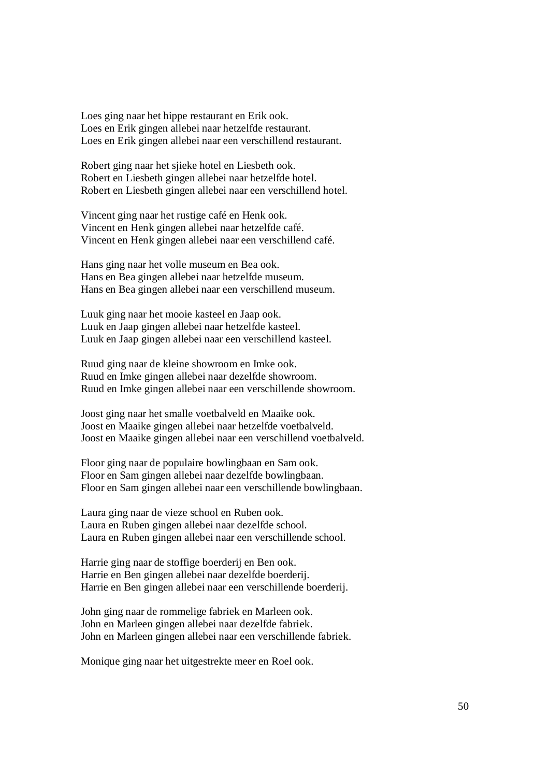Loes ging naar het hippe restaurant en Erik ook. Loes en Erik gingen allebei naar hetzelfde restaurant. Loes en Erik gingen allebei naar een verschillend restaurant.

Robert ging naar het sjieke hotel en Liesbeth ook. Robert en Liesbeth gingen allebei naar hetzelfde hotel. Robert en Liesbeth gingen allebei naar een verschillend hotel.

Vincent ging naar het rustige café en Henk ook. Vincent en Henk gingen allebei naar hetzelfde café. Vincent en Henk gingen allebei naar een verschillend café.

Hans ging naar het volle museum en Bea ook. Hans en Bea gingen allebei naar hetzelfde museum. Hans en Bea gingen allebei naar een verschillend museum.

Luuk ging naar het mooie kasteel en Jaap ook. Luuk en Jaap gingen allebei naar hetzelfde kasteel. Luuk en Jaap gingen allebei naar een verschillend kasteel.

Ruud ging naar de kleine showroom en Imke ook. Ruud en Imke gingen allebei naar dezelfde showroom. Ruud en Imke gingen allebei naar een verschillende showroom.

Joost ging naar het smalle voetbalveld en Maaike ook. Joost en Maaike gingen allebei naar hetzelfde voetbalveld. Joost en Maaike gingen allebei naar een verschillend voetbalveld.

Floor ging naar de populaire bowlingbaan en Sam ook. Floor en Sam gingen allebei naar dezelfde bowlingbaan. Floor en Sam gingen allebei naar een verschillende bowlingbaan.

Laura ging naar de vieze school en Ruben ook. Laura en Ruben gingen allebei naar dezelfde school. Laura en Ruben gingen allebei naar een verschillende school.

Harrie ging naar de stoffige boerderij en Ben ook. Harrie en Ben gingen allebei naar dezelfde boerderij. Harrie en Ben gingen allebei naar een verschillende boerderij.

John ging naar de rommelige fabriek en Marleen ook. John en Marleen gingen allebei naar dezelfde fabriek. John en Marleen gingen allebei naar een verschillende fabriek.

Monique ging naar het uitgestrekte meer en Roel ook.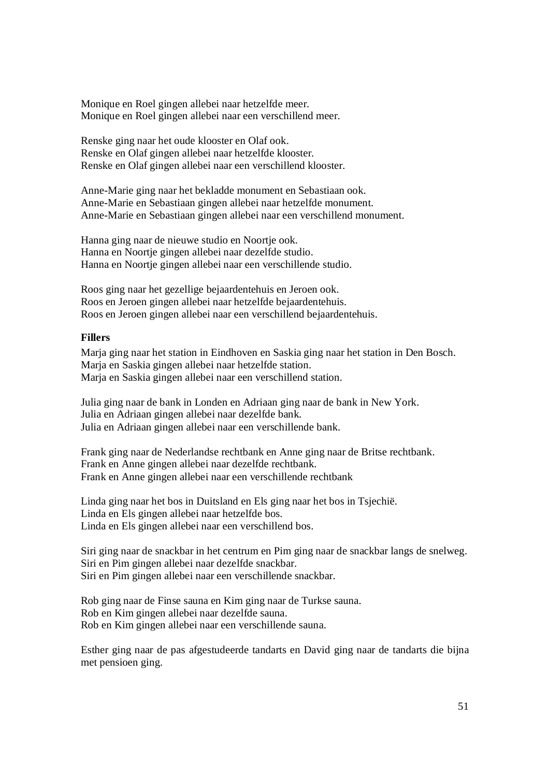Monique en Roel gingen allebei naar hetzelfde meer. Monique en Roel gingen allebei naar een verschillend meer.

Renske ging naar het oude klooster en Olaf ook. Renske en Olaf gingen allebei naar hetzelfde klooster. Renske en Olaf gingen allebei naar een verschillend klooster.

Anne-Marie ging naar het bekladde monument en Sebastiaan ook. Anne-Marie en Sebastiaan gingen allebei naar hetzelfde monument. Anne-Marie en Sebastiaan gingen allebei naar een verschillend monument.

Hanna ging naar de nieuwe studio en Noortje ook. Hanna en Noortje gingen allebei naar dezelfde studio. Hanna en Noortje gingen allebei naar een verschillende studio.

Roos ging naar het gezellige bejaardentehuis en Jeroen ook. Roos en Jeroen gingen allebei naar hetzelfde bejaardentehuis. Roos en Jeroen gingen allebei naar een verschillend bejaardentehuis.

# **Fillers**

Marja ging naar het station in Eindhoven en Saskia ging naar het station in Den Bosch. Marja en Saskia gingen allebei naar hetzelfde station. Marja en Saskia gingen allebei naar een verschillend station.

Julia ging naar de bank in Londen en Adriaan ging naar de bank in New York. Julia en Adriaan gingen allebei naar dezelfde bank. Julia en Adriaan gingen allebei naar een verschillende bank.

Frank ging naar de Nederlandse rechtbank en Anne ging naar de Britse rechtbank. Frank en Anne gingen allebei naar dezelfde rechtbank. Frank en Anne gingen allebei naar een verschillende rechtbank

Linda ging naar het bos in Duitsland en Els ging naar het bos in Tsjechië. Linda en Els gingen allebei naar hetzelfde bos. Linda en Els gingen allebei naar een verschillend bos.

Siri ging naar de snackbar in het centrum en Pim ging naar de snackbar langs de snelweg. Siri en Pim gingen allebei naar dezelfde snackbar. Siri en Pim gingen allebei naar een verschillende snackbar.

Rob ging naar de Finse sauna en Kim ging naar de Turkse sauna. Rob en Kim gingen allebei naar dezelfde sauna. Rob en Kim gingen allebei naar een verschillende sauna.

Esther ging naar de pas afgestudeerde tandarts en David ging naar de tandarts die bijna met pensioen ging.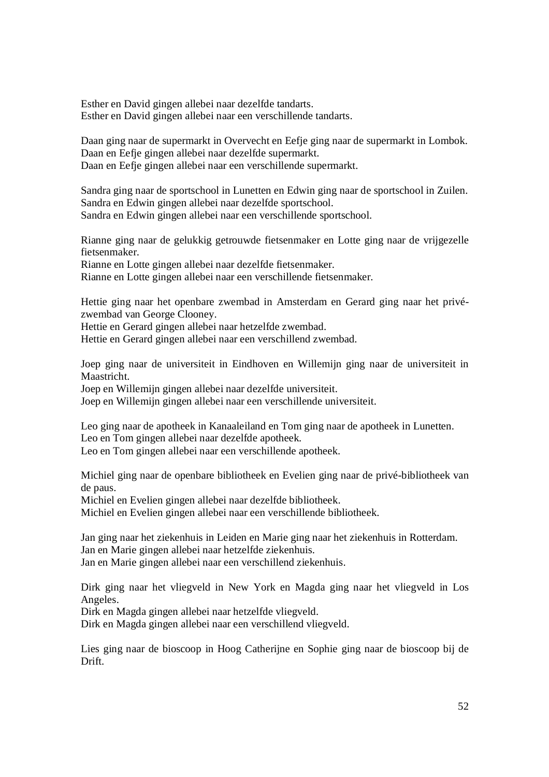Esther en David gingen allebei naar dezelfde tandarts. Esther en David gingen allebei naar een verschillende tandarts.

Daan ging naar de supermarkt in Overvecht en Eefje ging naar de supermarkt in Lombok. Daan en Eefje gingen allebei naar dezelfde supermarkt. Daan en Eefje gingen allebei naar een verschillende supermarkt.

Sandra ging naar de sportschool in Lunetten en Edwin ging naar de sportschool in Zuilen. Sandra en Edwin gingen allebei naar dezelfde sportschool. Sandra en Edwin gingen allebei naar een verschillende sportschool.

Rianne ging naar de gelukkig getrouwde fietsenmaker en Lotte ging naar de vrijgezelle fietsenmaker.

Rianne en Lotte gingen allebei naar dezelfde fietsenmaker.

Rianne en Lotte gingen allebei naar een verschillende fietsenmaker.

Hettie ging naar het openbare zwembad in Amsterdam en Gerard ging naar het privézwembad van George Clooney.

Hettie en Gerard gingen allebei naar hetzelfde zwembad.

Hettie en Gerard gingen allebei naar een verschillend zwembad.

Joep ging naar de universiteit in Eindhoven en Willemijn ging naar de universiteit in Maastricht.

Joep en Willemijn gingen allebei naar dezelfde universiteit.

Joep en Willemijn gingen allebei naar een verschillende universiteit.

Leo ging naar de apotheek in Kanaaleiland en Tom ging naar de apotheek in Lunetten. Leo en Tom gingen allebei naar dezelfde apotheek.

Leo en Tom gingen allebei naar een verschillende apotheek.

Michiel ging naar de openbare bibliotheek en Evelien ging naar de privé-bibliotheek van de paus.

Michiel en Evelien gingen allebei naar dezelfde bibliotheek.

Michiel en Evelien gingen allebei naar een verschillende bibliotheek.

Jan ging naar het ziekenhuis in Leiden en Marie ging naar het ziekenhuis in Rotterdam. Jan en Marie gingen allebei naar hetzelfde ziekenhuis.

Jan en Marie gingen allebei naar een verschillend ziekenhuis.

Dirk ging naar het vliegveld in New York en Magda ging naar het vliegveld in Los Angeles.

Dirk en Magda gingen allebei naar hetzelfde vliegveld.

Dirk en Magda gingen allebei naar een verschillend vliegveld.

Lies ging naar de bioscoop in Hoog Catherijne en Sophie ging naar de bioscoop bij de Drift.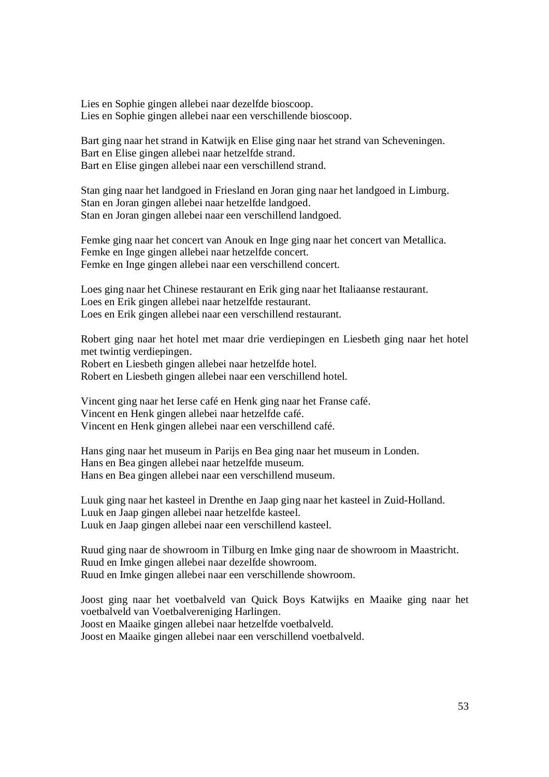Lies en Sophie gingen allebei naar dezelfde bioscoop. Lies en Sophie gingen allebei naar een verschillende bioscoop.

Bart ging naar het strand in Katwijk en Elise ging naar het strand van Scheveningen. Bart en Elise gingen allebei naar hetzelfde strand. Bart en Elise gingen allebei naar een verschillend strand.

Stan ging naar het landgoed in Friesland en Joran ging naar het landgoed in Limburg. Stan en Joran gingen allebei naar hetzelfde landgoed. Stan en Joran gingen allebei naar een verschillend landgoed.

Femke ging naar het concert van Anouk en Inge ging naar het concert van Metallica. Femke en Inge gingen allebei naar hetzelfde concert. Femke en Inge gingen allebei naar een verschillend concert.

Loes ging naar het Chinese restaurant en Erik ging naar het Italiaanse restaurant. Loes en Erik gingen allebei naar hetzelfde restaurant. Loes en Erik gingen allebei naar een verschillend restaurant.

Robert ging naar het hotel met maar drie verdiepingen en Liesbeth ging naar het hotel met twintig verdiepingen. Robert en Liesbeth gingen allebei naar hetzelfde hotel. Robert en Liesbeth gingen allebei naar een verschillend hotel.

Vincent ging naar het Ierse café en Henk ging naar het Franse café. Vincent en Henk gingen allebei naar hetzelfde café. Vincent en Henk gingen allebei naar een verschillend café.

Hans ging naar het museum in Parijs en Bea ging naar het museum in Londen. Hans en Bea gingen allebei naar hetzelfde museum. Hans en Bea gingen allebei naar een verschillend museum.

Luuk ging naar het kasteel in Drenthe en Jaap ging naar het kasteel in Zuid-Holland. Luuk en Jaap gingen allebei naar hetzelfde kasteel. Luuk en Jaap gingen allebei naar een verschillend kasteel.

Ruud ging naar de showroom in Tilburg en Imke ging naar de showroom in Maastricht. Ruud en Imke gingen allebei naar dezelfde showroom. Ruud en Imke gingen allebei naar een verschillende showroom.

Joost ging naar het voetbalveld van Quick Boys Katwijks en Maaike ging naar het voetbalveld van Voetbalvereniging Harlingen. Joost en Maaike gingen allebei naar hetzelfde voetbalveld. Joost en Maaike gingen allebei naar een verschillend voetbalveld.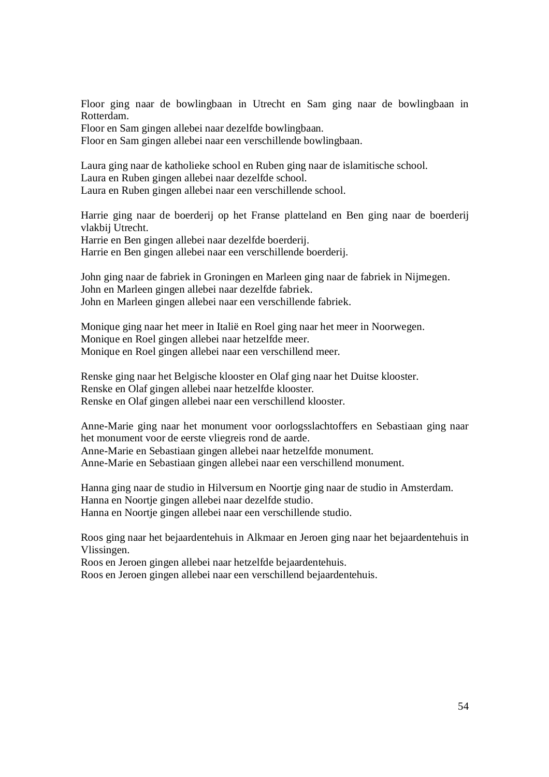Floor ging naar de bowlingbaan in Utrecht en Sam ging naar de bowlingbaan in Rotterdam.

Floor en Sam gingen allebei naar dezelfde bowlingbaan.

Floor en Sam gingen allebei naar een verschillende bowlingbaan.

Laura ging naar de katholieke school en Ruben ging naar de islamitische school. Laura en Ruben gingen allebei naar dezelfde school. Laura en Ruben gingen allebei naar een verschillende school.

Harrie ging naar de boerderij op het Franse platteland en Ben ging naar de boerderij vlakbij Utrecht.

Harrie en Ben gingen allebei naar dezelfde boerderij. Harrie en Ben gingen allebei naar een verschillende boerderij.

John ging naar de fabriek in Groningen en Marleen ging naar de fabriek in Nijmegen. John en Marleen gingen allebei naar dezelfde fabriek. John en Marleen gingen allebei naar een verschillende fabriek.

Monique ging naar het meer in Italië en Roel ging naar het meer in Noorwegen. Monique en Roel gingen allebei naar hetzelfde meer. Monique en Roel gingen allebei naar een verschillend meer.

Renske ging naar het Belgische klooster en Olaf ging naar het Duitse klooster. Renske en Olaf gingen allebei naar hetzelfde klooster. Renske en Olaf gingen allebei naar een verschillend klooster.

Anne-Marie ging naar het monument voor oorlogsslachtoffers en Sebastiaan ging naar het monument voor de eerste vliegreis rond de aarde.

Anne-Marie en Sebastiaan gingen allebei naar hetzelfde monument. Anne-Marie en Sebastiaan gingen allebei naar een verschillend monument.

Hanna ging naar de studio in Hilversum en Noortje ging naar de studio in Amsterdam. Hanna en Noortje gingen allebei naar dezelfde studio. Hanna en Noortje gingen allebei naar een verschillende studio.

Roos ging naar het bejaardentehuis in Alkmaar en Jeroen ging naar het bejaardentehuis in Vlissingen.

Roos en Jeroen gingen allebei naar hetzelfde bejaardentehuis.

Roos en Jeroen gingen allebei naar een verschillend bejaardentehuis.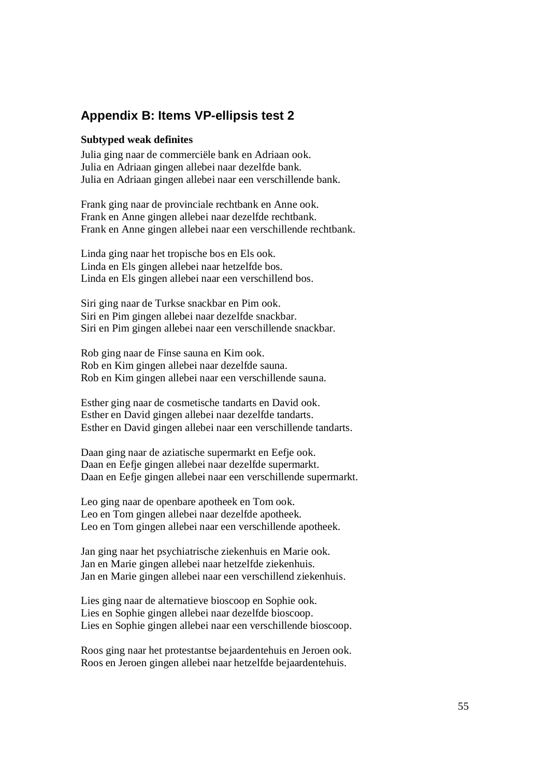# **Appendix B: Items VP-ellipsis test 2**

#### **Subtyped weak definites**

Julia ging naar de commerciële bank en Adriaan ook. Julia en Adriaan gingen allebei naar dezelfde bank. Julia en Adriaan gingen allebei naar een verschillende bank.

Frank ging naar de provinciale rechtbank en Anne ook. Frank en Anne gingen allebei naar dezelfde rechtbank. Frank en Anne gingen allebei naar een verschillende rechtbank.

Linda ging naar het tropische bos en Els ook. Linda en Els gingen allebei naar hetzelfde bos. Linda en Els gingen allebei naar een verschillend bos.

Siri ging naar de Turkse snackbar en Pim ook. Siri en Pim gingen allebei naar dezelfde snackbar. Siri en Pim gingen allebei naar een verschillende snackbar.

Rob ging naar de Finse sauna en Kim ook. Rob en Kim gingen allebei naar dezelfde sauna. Rob en Kim gingen allebei naar een verschillende sauna.

Esther ging naar de cosmetische tandarts en David ook. Esther en David gingen allebei naar dezelfde tandarts. Esther en David gingen allebei naar een verschillende tandarts.

Daan ging naar de aziatische supermarkt en Eefje ook. Daan en Eefje gingen allebei naar dezelfde supermarkt. Daan en Eefje gingen allebei naar een verschillende supermarkt.

Leo ging naar de openbare apotheek en Tom ook. Leo en Tom gingen allebei naar dezelfde apotheek. Leo en Tom gingen allebei naar een verschillende apotheek.

Jan ging naar het psychiatrische ziekenhuis en Marie ook. Jan en Marie gingen allebei naar hetzelfde ziekenhuis. Jan en Marie gingen allebei naar een verschillend ziekenhuis.

Lies ging naar de alternatieve bioscoop en Sophie ook. Lies en Sophie gingen allebei naar dezelfde bioscoop. Lies en Sophie gingen allebei naar een verschillende bioscoop.

Roos ging naar het protestantse bejaardentehuis en Jeroen ook. Roos en Jeroen gingen allebei naar hetzelfde bejaardentehuis.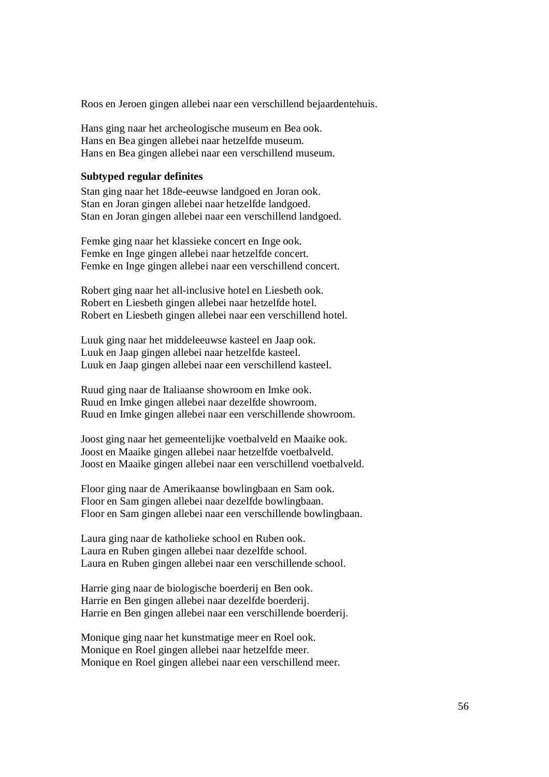Roos en Jeroen gingen allebei naar een verschillend bejaardentehuis.

Hans ging naar het archeologische museum en Bea ook. Hans en Bea gingen allebei naar hetzelfde museum. Hans en Bea gingen allebei naar een verschillend museum.

### **Subtyped regular definites**

Stan ging naar het 18de-eeuwse landgoed en Joran ook. Stan en Joran gingen allebei naar hetzelfde landgoed. Stan en Joran gingen allebei naar een verschillend landgoed.

Femke ging naar het klassieke concert en Inge ook. Femke en Inge gingen allebei naar hetzelfde concert. Femke en Inge gingen allebei naar een verschillend concert.

Robert ging naar het all-inclusive hotel en Liesbeth ook. Robert en Liesbeth gingen allebei naar hetzelfde hotel. Robert en Liesbeth gingen allebei naar een verschillend hotel.

Luuk ging naar het middeleeuwse kasteel en Jaap ook. Luuk en Jaap gingen allebei naar hetzelfde kasteel. Luuk en Jaap gingen allebei naar een verschillend kasteel.

Ruud ging naar de Italiaanse showroom en Imke ook. Ruud en Imke gingen allebei naar dezelfde showroom. Ruud en Imke gingen allebei naar een verschillende showroom.

Joost ging naar het gemeentelijke voetbalveld en Maaike ook. Joost en Maaike gingen allebei naar hetzelfde voetbalveld. Joost en Maaike gingen allebei naar een verschillend voetbalveld.

Floor ging naar de Amerikaanse bowlingbaan en Sam ook. Floor en Sam gingen allebei naar dezelfde bowlingbaan. Floor en Sam gingen allebei naar een verschillende bowlingbaan.

Laura ging naar de katholieke school en Ruben ook. Laura en Ruben gingen allebei naar dezelfde school. Laura en Ruben gingen allebei naar een verschillende school.

Harrie ging naar de biologische boerderij en Ben ook. Harrie en Ben gingen allebei naar dezelfde boerderij. Harrie en Ben gingen allebei naar een verschillende boerderij.

Monique ging naar het kunstmatige meer en Roel ook. Monique en Roel gingen allebei naar hetzelfde meer. Monique en Roel gingen allebei naar een verschillend meer.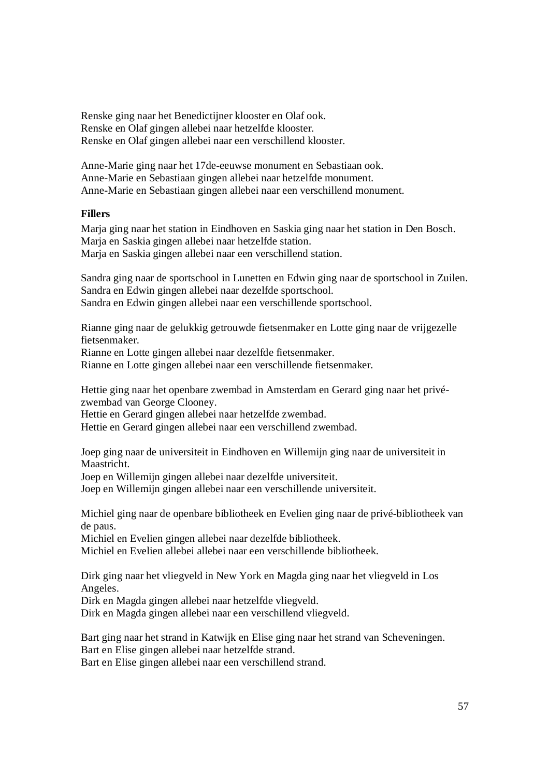Renske ging naar het Benedictijner klooster en Olaf ook. Renske en Olaf gingen allebei naar hetzelfde klooster. Renske en Olaf gingen allebei naar een verschillend klooster.

Anne-Marie ging naar het 17de-eeuwse monument en Sebastiaan ook. Anne-Marie en Sebastiaan gingen allebei naar hetzelfde monument. Anne-Marie en Sebastiaan gingen allebei naar een verschillend monument.

# **Fillers**

Marja ging naar het station in Eindhoven en Saskia ging naar het station in Den Bosch. Marja en Saskia gingen allebei naar hetzelfde station. Marja en Saskia gingen allebei naar een verschillend station.

Sandra ging naar de sportschool in Lunetten en Edwin ging naar de sportschool in Zuilen. Sandra en Edwin gingen allebei naar dezelfde sportschool. Sandra en Edwin gingen allebei naar een verschillende sportschool.

Rianne ging naar de gelukkig getrouwde fietsenmaker en Lotte ging naar de vrijgezelle fietsenmaker.

Rianne en Lotte gingen allebei naar dezelfde fietsenmaker.

Rianne en Lotte gingen allebei naar een verschillende fietsenmaker.

Hettie ging naar het openbare zwembad in Amsterdam en Gerard ging naar het privézwembad van George Clooney.

Hettie en Gerard gingen allebei naar hetzelfde zwembad.

Hettie en Gerard gingen allebei naar een verschillend zwembad.

Joep ging naar de universiteit in Eindhoven en Willemijn ging naar de universiteit in Maastricht.

Joep en Willemijn gingen allebei naar dezelfde universiteit.

Joep en Willemijn gingen allebei naar een verschillende universiteit.

Michiel ging naar de openbare bibliotheek en Evelien ging naar de privé-bibliotheek van de paus.

Michiel en Evelien gingen allebei naar dezelfde bibliotheek.

Michiel en Evelien allebei allebei naar een verschillende bibliotheek.

Dirk ging naar het vliegveld in New York en Magda ging naar het vliegveld in Los Angeles.

Dirk en Magda gingen allebei naar hetzelfde vliegveld.

Dirk en Magda gingen allebei naar een verschillend vliegveld.

Bart ging naar het strand in Katwijk en Elise ging naar het strand van Scheveningen. Bart en Elise gingen allebei naar hetzelfde strand.

Bart en Elise gingen allebei naar een verschillend strand.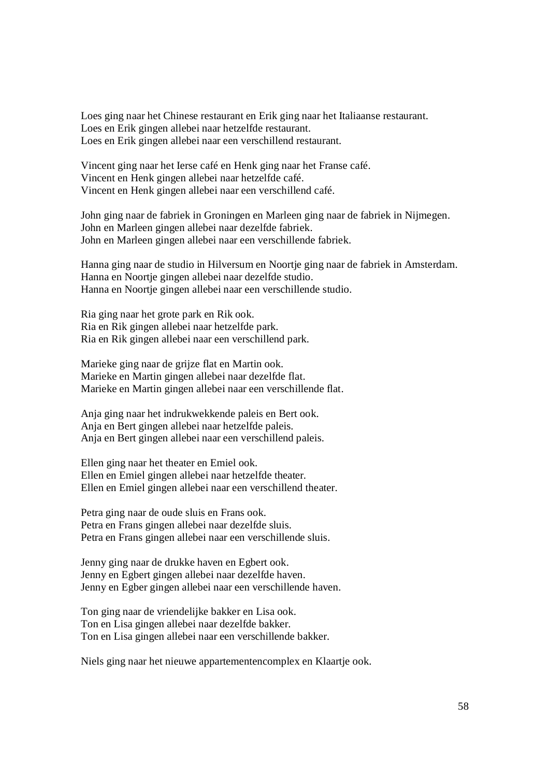Loes ging naar het Chinese restaurant en Erik ging naar het Italiaanse restaurant. Loes en Erik gingen allebei naar hetzelfde restaurant. Loes en Erik gingen allebei naar een verschillend restaurant.

Vincent ging naar het Ierse café en Henk ging naar het Franse café. Vincent en Henk gingen allebei naar hetzelfde café. Vincent en Henk gingen allebei naar een verschillend café.

John ging naar de fabriek in Groningen en Marleen ging naar de fabriek in Nijmegen. John en Marleen gingen allebei naar dezelfde fabriek. John en Marleen gingen allebei naar een verschillende fabriek.

Hanna ging naar de studio in Hilversum en Noortje ging naar de fabriek in Amsterdam. Hanna en Noortje gingen allebei naar dezelfde studio. Hanna en Noortje gingen allebei naar een verschillende studio.

Ria ging naar het grote park en Rik ook. Ria en Rik gingen allebei naar hetzelfde park. Ria en Rik gingen allebei naar een verschillend park.

Marieke ging naar de grijze flat en Martin ook. Marieke en Martin gingen allebei naar dezelfde flat. Marieke en Martin gingen allebei naar een verschillende flat.

Anja ging naar het indrukwekkende paleis en Bert ook. Anja en Bert gingen allebei naar hetzelfde paleis. Anja en Bert gingen allebei naar een verschillend paleis.

Ellen ging naar het theater en Emiel ook. Ellen en Emiel gingen allebei naar hetzelfde theater. Ellen en Emiel gingen allebei naar een verschillend theater.

Petra ging naar de oude sluis en Frans ook. Petra en Frans gingen allebei naar dezelfde sluis. Petra en Frans gingen allebei naar een verschillende sluis.

Jenny ging naar de drukke haven en Egbert ook. Jenny en Egbert gingen allebei naar dezelfde haven. Jenny en Egber gingen allebei naar een verschillende haven.

Ton ging naar de vriendelijke bakker en Lisa ook. Ton en Lisa gingen allebei naar dezelfde bakker. Ton en Lisa gingen allebei naar een verschillende bakker.

Niels ging naar het nieuwe appartementencomplex en Klaartje ook.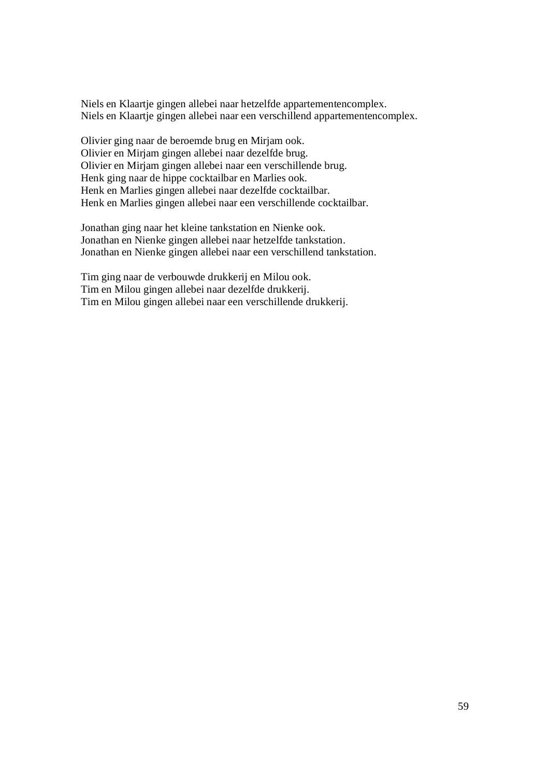Niels en Klaartje gingen allebei naar hetzelfde appartementencomplex. Niels en Klaartje gingen allebei naar een verschillend appartementencomplex.

Olivier ging naar de beroemde brug en Mirjam ook. Olivier en Mirjam gingen allebei naar dezelfde brug. Olivier en Mirjam gingen allebei naar een verschillende brug. Henk ging naar de hippe cocktailbar en Marlies ook. Henk en Marlies gingen allebei naar dezelfde cocktailbar. Henk en Marlies gingen allebei naar een verschillende cocktailbar.

Jonathan ging naar het kleine tankstation en Nienke ook. Jonathan en Nienke gingen allebei naar hetzelfde tankstation. Jonathan en Nienke gingen allebei naar een verschillend tankstation.

Tim ging naar de verbouwde drukkerij en Milou ook. Tim en Milou gingen allebei naar dezelfde drukkerij. Tim en Milou gingen allebei naar een verschillende drukkerij.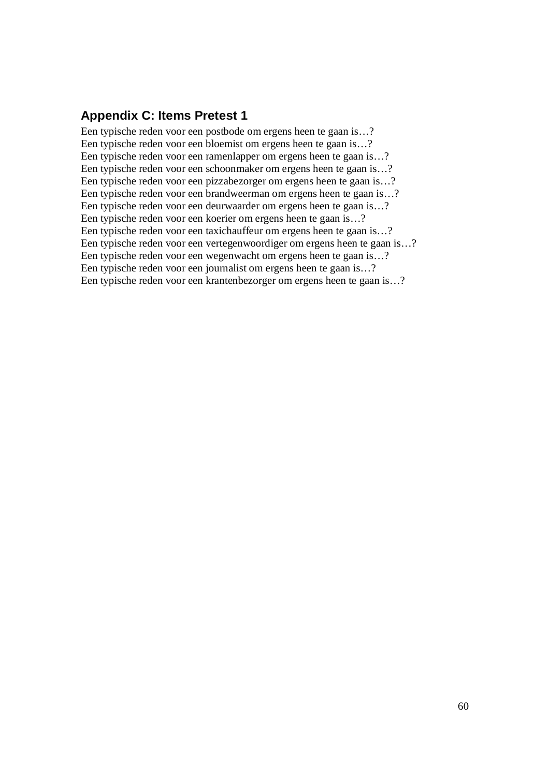# **Appendix C: Items Pretest 1**

Een typische reden voor een postbode om ergens heen te gaan is…? Een typische reden voor een bloemist om ergens heen te gaan is…? Een typische reden voor een ramenlapper om ergens heen te gaan is…? Een typische reden voor een schoonmaker om ergens heen te gaan is…? Een typische reden voor een pizzabezorger om ergens heen te gaan is…? Een typische reden voor een brandweerman om ergens heen te gaan is…? Een typische reden voor een deurwaarder om ergens heen te gaan is…? Een typische reden voor een koerier om ergens heen te gaan is…? Een typische reden voor een taxichauffeur om ergens heen te gaan is…? Een typische reden voor een vertegenwoordiger om ergens heen te gaan is…? Een typische reden voor een wegenwacht om ergens heen te gaan is…? Een typische reden voor een journalist om ergens heen te gaan is…? Een typische reden voor een krantenbezorger om ergens heen te gaan is…?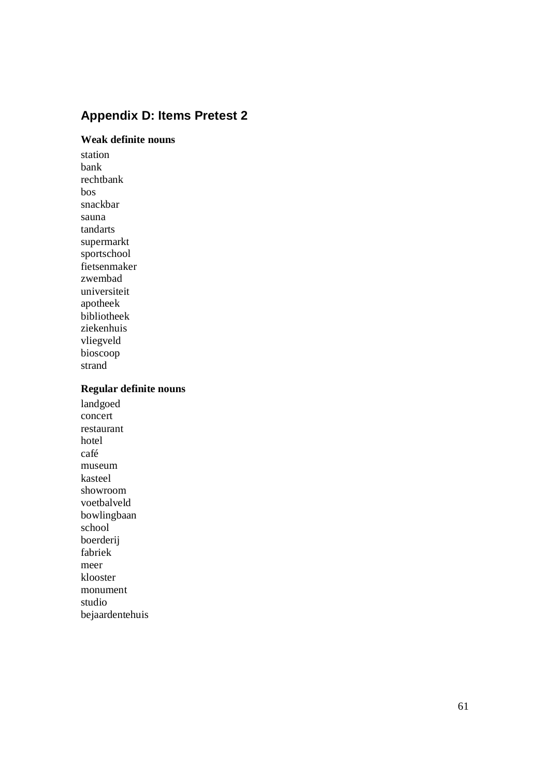# **Appendix D: Items Pretest 2**

# **Weak definite nouns**

station bank rechtbank bos snackbar sauna tandarts supermarkt sportschool fietsenmaker zwembad universiteit apotheek bibliotheek ziekenhuis vliegveld bioscoop strand

# **Regular definite nouns**

landgoed concert restaurant hotel café museum kasteel showroom voetbalveld bowlingbaan school boerderij fabriek meer klooster monument studio bejaardentehuis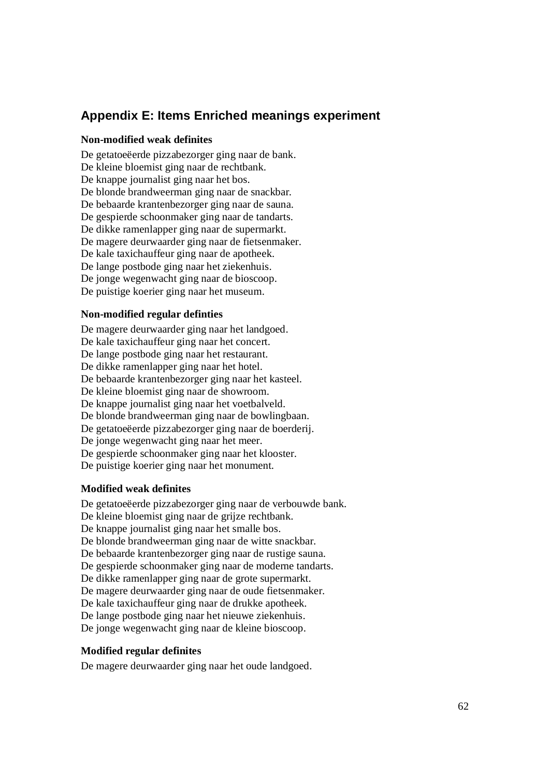# **Appendix E: Items Enriched meanings experiment**

### **Non-modified weak definites**

De getatoeëerde pizzabezorger ging naar de bank. De kleine bloemist ging naar de rechtbank. De knappe journalist ging naar het bos. De blonde brandweerman ging naar de snackbar. De bebaarde krantenbezorger ging naar de sauna. De gespierde schoonmaker ging naar de tandarts. De dikke ramenlapper ging naar de supermarkt. De magere deurwaarder ging naar de fietsenmaker. De kale taxichauffeur ging naar de apotheek. De lange postbode ging naar het ziekenhuis. De jonge wegenwacht ging naar de bioscoop. De puistige koerier ging naar het museum.

#### **Non-modified regular definties**

De magere deurwaarder ging naar het landgoed. De kale taxichauffeur ging naar het concert. De lange postbode ging naar het restaurant. De dikke ramenlapper ging naar het hotel. De bebaarde krantenbezorger ging naar het kasteel. De kleine bloemist ging naar de showroom. De knappe journalist ging naar het voetbalveld. De blonde brandweerman ging naar de bowlingbaan. De getatoeëerde pizzabezorger ging naar de boerderij. De jonge wegenwacht ging naar het meer. De gespierde schoonmaker ging naar het klooster. De puistige koerier ging naar het monument.

# **Modified weak definites**

De getatoeëerde pizzabezorger ging naar de verbouwde bank. De kleine bloemist ging naar de grijze rechtbank. De knappe journalist ging naar het smalle bos. De blonde brandweerman ging naar de witte snackbar. De bebaarde krantenbezorger ging naar de rustige sauna. De gespierde schoonmaker ging naar de moderne tandarts. De dikke ramenlapper ging naar de grote supermarkt. De magere deurwaarder ging naar de oude fietsenmaker. De kale taxichauffeur ging naar de drukke apotheek. De lange postbode ging naar het nieuwe ziekenhuis. De jonge wegenwacht ging naar de kleine bioscoop.

#### **Modified regular definites**

De magere deurwaarder ging naar het oude landgoed.